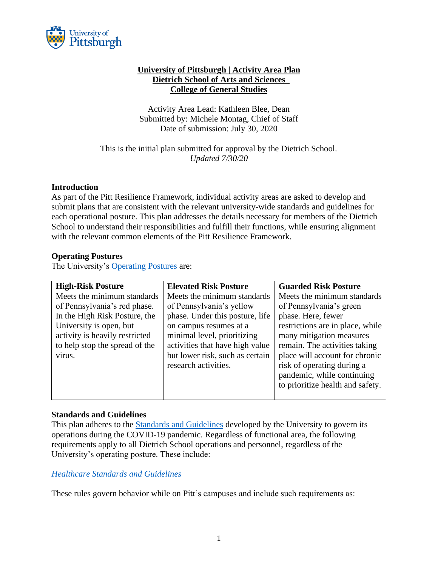

## **University of Pittsburgh | Activity Area Plan Dietrich School of Arts and Sciences College of General Studies**

Activity Area Lead: Kathleen Blee, Dean Submitted by: Michele Montag, Chief of Staff Date of submission: July 30, 2020

This is the initial plan submitted for approval by the Dietrich School. *Updated 7/30/20*

#### **Introduction**

As part of the Pitt Resilience Framework, individual activity areas are asked to develop and submit plans that are consistent with the relevant university-wide standards and guidelines for each operational posture. This plan addresses the details necessary for members of the Dietrich School to understand their responsibilities and fulfill their functions, while ensuring alignment with the relevant common elements of the Pitt Resilience Framework.

#### **Operating Postures**

The University's [Operating Postures](https://www.coronavirus.pitt.edu/operational-postures) are:

| <b>High-Risk Posture</b>       | <b>Elevated Risk Posture</b>    | <b>Guarded Risk Posture</b>      |
|--------------------------------|---------------------------------|----------------------------------|
| Meets the minimum standards    | Meets the minimum standards     | Meets the minimum standards      |
| of Pennsylvania's red phase.   | of Pennsylvania's yellow        | of Pennsylvania's green          |
| In the High Risk Posture, the  | phase. Under this posture, life | phase. Here, fewer               |
| University is open, but        | on campus resumes at a          | restrictions are in place, while |
| activity is heavily restricted | minimal level, prioritizing     | many mitigation measures         |
| to help stop the spread of the | activities that have high value | remain. The activities taking    |
| virus.                         | but lower risk, such as certain | place will account for chronic   |
|                                | research activities.            | risk of operating during a       |
|                                |                                 | pandemic, while continuing       |
|                                |                                 | to prioritize health and safety. |
|                                |                                 |                                  |

## **Standards and Guidelines**

This plan adheres to the [Standards and Guidelines](https://www.policy.pitt.edu/university-policies-and-procedures/covid-19-standards-and-guidelines) developed by the University to govern its operations during the COVID-19 pandemic. Regardless of functional area, the following requirements apply to all Dietrich School operations and personnel, regardless of the University's operating posture. These include:

## *[Healthcare Standards and Guidelines](https://www.policy.pitt.edu/university-policies-and-procedures/covid-19-standards-and-guidelines)*

These rules govern behavior while on Pitt's campuses and include such requirements as: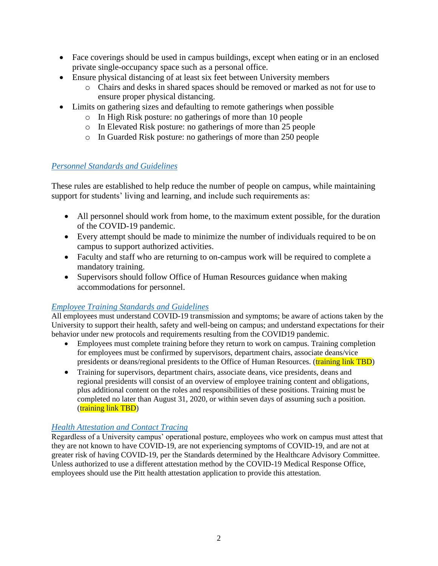- Face coverings should be used in campus buildings, except when eating or in an enclosed private single-occupancy space such as a personal office.
- Ensure physical distancing of at least six feet between University members
	- o Chairs and desks in shared spaces should be removed or marked as not for use to ensure proper physical distancing.
- Limits on gathering sizes and defaulting to remote gatherings when possible
	- o In High Risk posture: no gatherings of more than 10 people
	- o In Elevated Risk posture: no gatherings of more than 25 people
	- o In Guarded Risk posture: no gatherings of more than 250 people

## *[Personnel Standards and Guidelines](https://www.policy.pitt.edu/university-policies-and-procedures/covid-19-standards-and-guidelines)*

These rules are established to help reduce the number of people on campus, while maintaining support for students' living and learning, and include such requirements as:

- All personnel should work from home, to the maximum extent possible, for the duration of the COVID-19 pandemic.
- Every attempt should be made to minimize the number of individuals required to be on campus to support authorized activities.
- Faculty and staff who are returning to on-campus work will be required to complete a mandatory training.
- Supervisors should follow Office of Human Resources guidance when making accommodations for personnel.

## *[Employee Training Standards and Guidelines](https://www.policy.pitt.edu/sites/default/files/covid/Train_Stds_and_Guide.pdf)*

All employees must understand COVID-19 transmission and symptoms; be aware of actions taken by the University to support their health, safety and well-being on campus; and understand expectations for their behavior under new protocols and requirements resulting from the COVID19 pandemic.

- Employees must complete training before they return to work on campus. Training completion for employees must be confirmed by supervisors, department chairs, associate deans/vice presidents or deans/regional presidents to the Office of Human Resources. (**training link TBD**)
- Training for supervisors, department chairs, associate deans, vice presidents, deans and regional presidents will consist of an overview of employee training content and obligations, plus additional content on the roles and responsibilities of these positions. Training must be completed no later than August 31, 2020, or within seven days of assuming such a position. (training link TBD)

## *[Health Attestation and Contact Tracing](https://www.policy.pitt.edu/sites/default/files/covid/Employee%20Health%20Attestation%20and%20Contact%20Tracing%20FINAL.pdf)*

Regardless of a University campus' operational posture, employees who work on campus must attest that they are not known to have COVID-19, are not experiencing symptoms of COVID-19, and are not at greater risk of having COVID-19, per the Standards determined by the Healthcare Advisory Committee. Unless authorized to use a different attestation method by the COVID-19 Medical Response Office, employees should use the Pitt health attestation application to provide this attestation.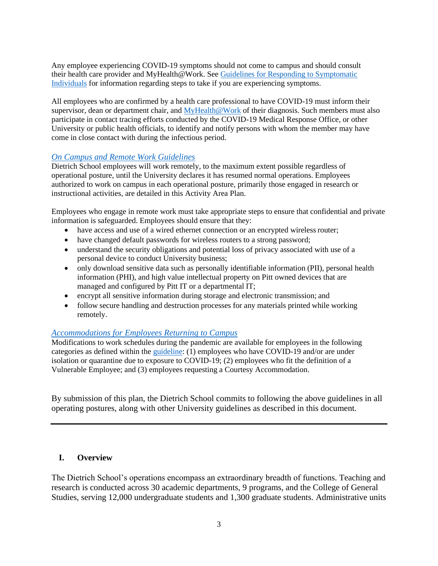Any employee experiencing COVID-19 symptoms should not come to campus and should consult their health care provider and MyHealth@Work. See [Guidelines for Responding to Symptomatic](https://www.coronavirus.pitt.edu/covid-19-campus/guidance-supervisors-symptomatic-or-positive-employees) [Individuals](https://www.coronavirus.pitt.edu/covid-19-campus/guidance-supervisors-symptomatic-or-positive-employees) for information regarding steps to take if you are experiencing symptoms.

All employees who are confirmed by a health care professional to have COVID-19 must inform their supervisor, dean or department chair, and [MyHealth@Work](https://www.hr.pitt.edu/current-employees/work-life-balance/wellness-life/myhealthwork-center) of their diagnosis. Such members must also participate in contact tracing efforts conducted by the COVID-19 Medical Response Office, or other University or public health officials, to identify and notify persons with whom the member may have come in close contact with during the infectious period.

#### *[On Campus and Remote Work Guidelines](https://www.policy.pitt.edu/sites/default/files/covid/On-Campus%20and%20Remote%20Work.pdf)*

Dietrich School employees will work remotely, to the maximum extent possible regardless of operational posture, until the University declares it has resumed normal operations. Employees authorized to work on campus in each operational posture, primarily those engaged in research or instructional activities, are detailed in this Activity Area Plan.

Employees who engage in remote work must take appropriate steps to ensure that confidential and private information is safeguarded. Employees should ensure that they:

- have access and use of a wired ethernet connection or an encrypted wireless router;
- have changed default passwords for wireless routers to a strong password;
- understand the security obligations and potential loss of privacy associated with use of a personal device to conduct University business;
- only download sensitive data such as personally identifiable information (PII), personal health information (PHI), and high value intellectual property on Pitt owned devices that are managed and configured by Pitt IT or a departmental IT;
- encrypt all sensitive information during storage and electronic transmission; and
- follow secure handling and destruction processes for any materials printed while working remotely.

#### *[Accommodations for Employees Returning to Campus](https://www.policy.pitt.edu/sites/default/files/covid/Accommodations%20Standards%26Guidelines%20FINAL.pdf)*

Modifications to work schedules during the pandemic are available for employees in the following categories as defined within the [guideline:](https://www.policy.pitt.edu/sites/default/files/covid/Accommodations%20Standards%26Guidelines%20FINAL.pdf) (1) employees who have COVID-19 and/or are under isolation or quarantine due to exposure to COVID-19; (2) employees who fit the definition of a Vulnerable Employee; and (3) employees requesting a Courtesy Accommodation.

By submission of this plan, the Dietrich School commits to following the above guidelines in all operating postures, along with other University guidelines as described in this document.

#### **I. Overview**

The Dietrich School's operations encompass an extraordinary breadth of functions. Teaching and research is conducted across 30 academic departments, 9 programs, and the College of General Studies, serving 12,000 undergraduate students and 1,300 graduate students. Administrative units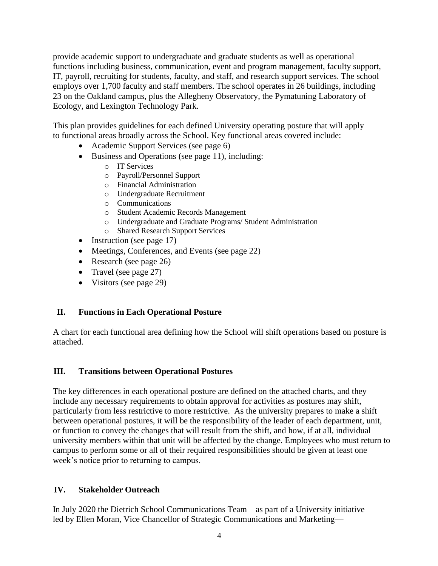provide academic support to undergraduate and graduate students as well as operational functions including business, communication, event and program management, faculty support, IT, payroll, recruiting for students, faculty, and staff, and research support services. The school employs over 1,700 faculty and staff members. The school operates in 26 buildings, including 23 on the Oakland campus, plus the Allegheny Observatory, the Pymatuning Laboratory of Ecology, and Lexington Technology Park.

This plan provides guidelines for each defined University operating posture that will apply to functional areas broadly across the School. Key functional areas covered include:

- Academic Support Services (see page 6)
- Business and Operations (see page 11), including:
	- o IT Services
	- o Payroll/Personnel Support
	- o Financial Administration
	- o Undergraduate Recruitment
	- o Communications
	- o Student Academic Records Management
	- o Undergraduate and Graduate Programs/ Student Administration
	- o Shared Research Support Services
- Instruction (see page 17)
- Meetings, Conferences, and Events (see page 22)
- Research (see page 26)
- Travel (see page 27)
- Visitors (see page 29)

## **II. Functions in Each Operational Posture**

A chart for each functional area defining how the School will shift operations based on posture is attached.

## **III. Transitions between Operational Postures**

The key differences in each operational posture are defined on the attached charts, and they include any necessary requirements to obtain approval for activities as postures may shift, particularly from less restrictive to more restrictive. As the university prepares to make a shift between operational postures, it will be the responsibility of the leader of each department, unit, or function to convey the changes that will result from the shift, and how, if at all, individual university members within that unit will be affected by the change. Employees who must return to campus to perform some or all of their required responsibilities should be given at least one week's notice prior to returning to campus.

## **IV. Stakeholder Outreach**

In July 2020 the Dietrich School Communications Team—as part of a University initiative led by Ellen Moran, Vice Chancellor of Strategic Communications and Marketing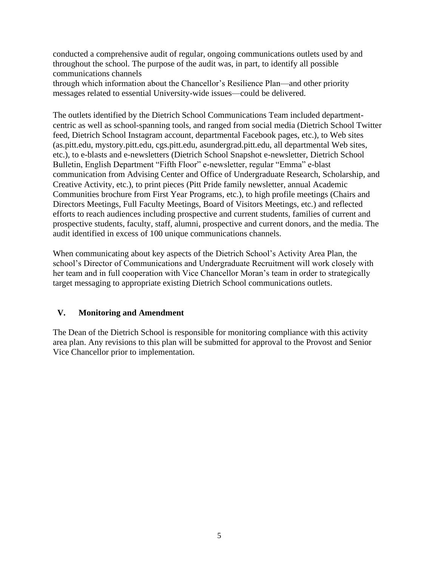conducted a comprehensive audit of regular, ongoing communications outlets used by and throughout the school. The purpose of the audit was, in part, to identify all possible communications channels

through which information about the Chancellor's Resilience Plan—and other priority messages related to essential University-wide issues—could be delivered.

The outlets identified by the Dietrich School Communications Team included departmentcentric as well as school-spanning tools, and ranged from social media (Dietrich School Twitter feed, Dietrich School Instagram account, departmental Facebook pages, etc.), to Web sites (as.pitt.edu, mystory.pitt.edu, cgs.pitt.edu, asundergrad.pitt.edu, all departmental Web sites, etc.), to e-blasts and e-newsletters (Dietrich School Snapshot e-newsletter, Dietrich School Bulletin, English Department "Fifth Floor" e-newsletter, regular "Emma" e-blast communication from Advising Center and Office of Undergraduate Research, Scholarship, and Creative Activity, etc.), to print pieces (Pitt Pride family newsletter, annual Academic Communities brochure from First Year Programs, etc.), to high profile meetings (Chairs and Directors Meetings, Full Faculty Meetings, Board of Visitors Meetings, etc.) and reflected efforts to reach audiences including prospective and current students, families of current and prospective students, faculty, staff, alumni, prospective and current donors, and the media. The audit identified in excess of 100 unique communications channels.

When communicating about key aspects of the Dietrich School's Activity Area Plan, the school's Director of Communications and Undergraduate Recruitment will work closely with her team and in full cooperation with Vice Chancellor Moran's team in order to strategically target messaging to appropriate existing Dietrich School communications outlets.

## **V. Monitoring and Amendment**

The Dean of the Dietrich School is responsible for monitoring compliance with this activity area plan. Any revisions to this plan will be submitted for approval to the Provost and Senior Vice Chancellor prior to implementation.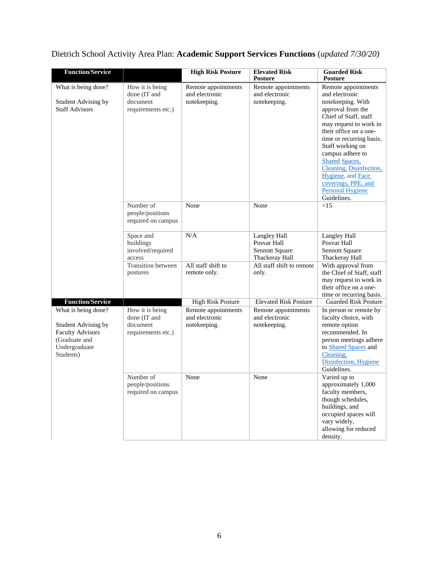## Dietrich School Activity Area Plan: **Academic Support Services Functions** (*updated 7/30/20)*

| <b>Function/Service</b>                                                                                              |                                                                   | <b>High Risk Posture</b>                              | <b>Elevated Risk</b><br>Posture                                        | <b>Guarded Risk</b><br><b>Posture</b>                                                                                                                                                                                                                                                                                                                                      |
|----------------------------------------------------------------------------------------------------------------------|-------------------------------------------------------------------|-------------------------------------------------------|------------------------------------------------------------------------|----------------------------------------------------------------------------------------------------------------------------------------------------------------------------------------------------------------------------------------------------------------------------------------------------------------------------------------------------------------------------|
| What is being done?<br>Student Advising by<br><b>Staff Advisors</b>                                                  | How it is being<br>done (IT and<br>document<br>requirements etc.) | Remote appointments<br>and electronic<br>notekeeping. | Remote appointments<br>and electronic<br>notekeeping.                  | Remote appointments<br>and electronic<br>notekeeping. With<br>approval from the<br>Chief of Staff, staff<br>may request to work in<br>their office on a one-<br>time or recurring basis.<br>Staff working on<br>campus adhere to<br><b>Shared Spaces,</b><br>Cleaning, Disinfection,<br>Hygiene, and Face<br>coverings, PPE, and<br><b>Personal Hygiene</b><br>Guidelines. |
|                                                                                                                      | Number of<br>people/positions<br>required on campus               | None                                                  | None                                                                   | <15                                                                                                                                                                                                                                                                                                                                                                        |
|                                                                                                                      | Space and<br>buildings<br>involved/required<br>access             | N/A                                                   | <b>Langley Hall</b><br>Posvar Hall<br>Sennott Square<br>Thackeray Hall | Langley Hall<br>Posvar Hall<br>Sennott Square<br>Thackeray Hall                                                                                                                                                                                                                                                                                                            |
|                                                                                                                      | Transition between<br>postures                                    | All staff shift to<br>remote only.                    | All staff shift to remote<br>only.                                     | With approval from<br>the Chief of Staff, staff<br>may request to work in<br>their office on a one-<br>time or recurring basis.                                                                                                                                                                                                                                            |
| <b>Function/Service</b>                                                                                              |                                                                   | <b>High Risk Posture</b>                              | <b>Elevated Risk Posture</b>                                           | <b>Guarded Risk Posture</b>                                                                                                                                                                                                                                                                                                                                                |
| What is being done?<br>Student Advising by<br><b>Faculty Advisors</b><br>(Graduate and<br>Undergraduate<br>Students) | How it is being<br>done (IT and<br>document<br>requirements etc.) | Remote appointments<br>and electronic<br>notekeeping. | Remote appointments<br>and electronic<br>notekeeping.                  | In person or remote by<br>faculty choice, with<br>remote option<br>recommended. In<br>person meetings adhere<br>to Shared Spaces and<br>Cleaning,<br>Disinfection, Hygiene<br>Guidelines.                                                                                                                                                                                  |
|                                                                                                                      | Number of<br>people/positions<br>required on campus               | None                                                  | None                                                                   | Varied up to<br>approximately 1,000<br>faculty members,<br>though schedules,<br>buildings, and<br>occupied spaces will<br>vary widely,<br>allowing for reduced<br>density.                                                                                                                                                                                                 |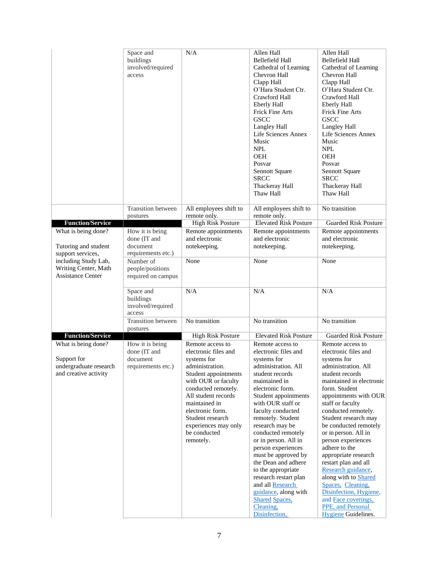|                                                 | Space and<br>buildings<br>involved/required<br>access | N/A                                      | Allen Hall<br><b>Bellefield Hall</b><br>Cathedral of Learning<br>Chevron Hall<br>Clapp Hall<br>O'Hara Student Ctr.<br>Crawford Hall<br><b>Eberly Hall</b><br>Frick Fine Arts<br><b>GSCC</b><br>Langley Hall<br>Life Sciences Annex<br>Music<br><b>NPL</b><br><b>OEH</b><br>Posvar<br>Sennott Square<br><b>SRCC</b><br>Thackeray Hall<br>Thaw Hall | Allen Hall<br><b>Bellefield Hall</b><br>Cathedral of Learning<br>Chevron Hall<br>Clapp Hall<br>O'Hara Student Ctr.<br>Crawford Hall<br><b>Eberly Hall</b><br>Frick Fine Arts<br><b>GSCC</b><br>Langley Hall<br>Life Sciences Annex<br>Music<br><b>NPL</b><br><b>OEH</b><br>Posvar<br>Sennott Square<br><b>SRCC</b><br>Thackeray Hall<br>Thaw Hall |
|-------------------------------------------------|-------------------------------------------------------|------------------------------------------|---------------------------------------------------------------------------------------------------------------------------------------------------------------------------------------------------------------------------------------------------------------------------------------------------------------------------------------------------|---------------------------------------------------------------------------------------------------------------------------------------------------------------------------------------------------------------------------------------------------------------------------------------------------------------------------------------------------|
|                                                 | <b>Transition</b> between<br>postures                 | All employees shift to<br>remote only.   | All employees shift to<br>remote only.                                                                                                                                                                                                                                                                                                            | No transition                                                                                                                                                                                                                                                                                                                                     |
| <b>Function/Service</b>                         |                                                       | <b>High Risk Posture</b>                 | <b>Elevated Risk Posture</b>                                                                                                                                                                                                                                                                                                                      | Guarded Risk Posture                                                                                                                                                                                                                                                                                                                              |
| What is being done?                             | How it is being                                       | Remote appointments                      | Remote appointments                                                                                                                                                                                                                                                                                                                               | Remote appointments                                                                                                                                                                                                                                                                                                                               |
|                                                 | done (IT and                                          | and electronic                           | and electronic                                                                                                                                                                                                                                                                                                                                    | and electronic                                                                                                                                                                                                                                                                                                                                    |
| Tutoring and student                            | document                                              | notekeeping.                             | notekeeping.                                                                                                                                                                                                                                                                                                                                      | notekeeping.                                                                                                                                                                                                                                                                                                                                      |
| support services,<br>including Study Lab,       | requirements etc.)<br>Number of                       | None                                     | None                                                                                                                                                                                                                                                                                                                                              | None                                                                                                                                                                                                                                                                                                                                              |
| Writing Center, Math                            | people/positions                                      |                                          |                                                                                                                                                                                                                                                                                                                                                   |                                                                                                                                                                                                                                                                                                                                                   |
| <b>Assistance Center</b>                        | required on campus                                    |                                          |                                                                                                                                                                                                                                                                                                                                                   |                                                                                                                                                                                                                                                                                                                                                   |
|                                                 | Space and<br>buildings<br>involved/required<br>access | N/A                                      | N/A                                                                                                                                                                                                                                                                                                                                               | N/A                                                                                                                                                                                                                                                                                                                                               |
|                                                 | <b>Transition</b> between<br>postures                 | No transition                            | No transition                                                                                                                                                                                                                                                                                                                                     | No transition                                                                                                                                                                                                                                                                                                                                     |
| <b>Function/Service</b>                         |                                                       | <b>High Risk Posture</b>                 | <b>Elevated Risk Posture</b>                                                                                                                                                                                                                                                                                                                      | <b>Guarded Risk Posture</b>                                                                                                                                                                                                                                                                                                                       |
| What is being done?                             | How it is being                                       | Remote access to                         | Remote access to                                                                                                                                                                                                                                                                                                                                  | Remote access to                                                                                                                                                                                                                                                                                                                                  |
|                                                 | done (IT and                                          | electronic files and                     | electronic files and                                                                                                                                                                                                                                                                                                                              | electronic files and                                                                                                                                                                                                                                                                                                                              |
| Support for                                     | document                                              | systems for                              | systems for                                                                                                                                                                                                                                                                                                                                       | systems for                                                                                                                                                                                                                                                                                                                                       |
| undergraduate research<br>and creative activity | requirements etc.)                                    | administration.<br>Student appointments  | administration. All<br>student records                                                                                                                                                                                                                                                                                                            | administration. All<br>student records                                                                                                                                                                                                                                                                                                            |
|                                                 |                                                       | with OUR or faculty                      | maintained in                                                                                                                                                                                                                                                                                                                                     | maintained in electronic                                                                                                                                                                                                                                                                                                                          |
|                                                 |                                                       | conducted remotely.                      | electronic form.                                                                                                                                                                                                                                                                                                                                  | form. Student                                                                                                                                                                                                                                                                                                                                     |
|                                                 |                                                       | All student records                      | Student appointments                                                                                                                                                                                                                                                                                                                              | appointments with OUR                                                                                                                                                                                                                                                                                                                             |
|                                                 |                                                       | maintained in                            | with OUR staff or                                                                                                                                                                                                                                                                                                                                 | staff or faculty                                                                                                                                                                                                                                                                                                                                  |
|                                                 |                                                       | electronic form.                         | faculty conducted                                                                                                                                                                                                                                                                                                                                 | conducted remotely.                                                                                                                                                                                                                                                                                                                               |
|                                                 |                                                       | Student research<br>experiences may only | remotely. Student<br>research may be                                                                                                                                                                                                                                                                                                              | Student research may<br>be conducted remotely                                                                                                                                                                                                                                                                                                     |
|                                                 |                                                       | be conducted                             | conducted remotely                                                                                                                                                                                                                                                                                                                                | or in person. All in                                                                                                                                                                                                                                                                                                                              |
|                                                 |                                                       | remotely.                                | or in person. All in                                                                                                                                                                                                                                                                                                                              | person experiences                                                                                                                                                                                                                                                                                                                                |
|                                                 |                                                       |                                          | person experiences                                                                                                                                                                                                                                                                                                                                | adhere to the                                                                                                                                                                                                                                                                                                                                     |
|                                                 |                                                       |                                          | must be approved by                                                                                                                                                                                                                                                                                                                               | appropriate research                                                                                                                                                                                                                                                                                                                              |
|                                                 |                                                       |                                          | the Dean and adhere                                                                                                                                                                                                                                                                                                                               | restart plan and all                                                                                                                                                                                                                                                                                                                              |
|                                                 |                                                       |                                          | to the appropriate                                                                                                                                                                                                                                                                                                                                | Research guidance,                                                                                                                                                                                                                                                                                                                                |
|                                                 |                                                       |                                          | research restart plan<br>and all Research                                                                                                                                                                                                                                                                                                         | along with to Shared<br>Spaces, Cleaning,                                                                                                                                                                                                                                                                                                         |
|                                                 |                                                       |                                          | guidance, along with                                                                                                                                                                                                                                                                                                                              | Disinfection, Hygiene,                                                                                                                                                                                                                                                                                                                            |
|                                                 |                                                       |                                          | <b>Shared Spaces,</b>                                                                                                                                                                                                                                                                                                                             | and Face coverings,                                                                                                                                                                                                                                                                                                                               |
|                                                 |                                                       |                                          | Cleaning,                                                                                                                                                                                                                                                                                                                                         | PPE, and Personal                                                                                                                                                                                                                                                                                                                                 |
|                                                 |                                                       |                                          | Disinfection,                                                                                                                                                                                                                                                                                                                                     | <b>Hygiene</b> Guidelines.                                                                                                                                                                                                                                                                                                                        |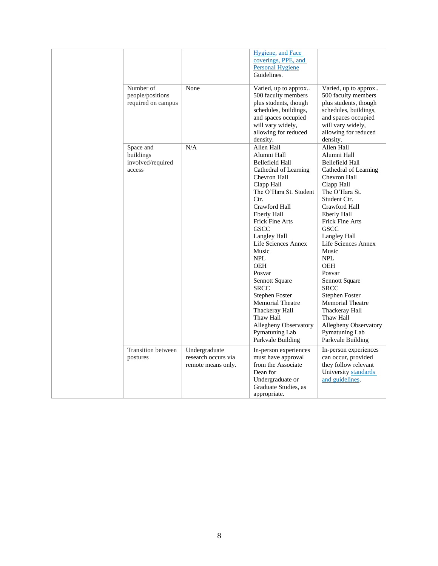| Number of<br>people/positions<br>required on campus   | None                                                       | Hygiene, and Face<br>coverings, PPE, and<br><b>Personal Hygiene</b><br>Guidelines.<br>Varied, up to approx<br>500 faculty members<br>plus students, though<br>schedules, buildings,<br>and spaces occupied<br>will vary widely,<br>allowing for reduced<br>density.                                                                                                                                                                                                                  | Varied, up to approx<br>500 faculty members<br>plus students, though<br>schedules, buildings,<br>and spaces occupied<br>will vary widely,<br>allowing for reduced<br>density.                                                                                                                                                                                                                                                                                                     |
|-------------------------------------------------------|------------------------------------------------------------|--------------------------------------------------------------------------------------------------------------------------------------------------------------------------------------------------------------------------------------------------------------------------------------------------------------------------------------------------------------------------------------------------------------------------------------------------------------------------------------|-----------------------------------------------------------------------------------------------------------------------------------------------------------------------------------------------------------------------------------------------------------------------------------------------------------------------------------------------------------------------------------------------------------------------------------------------------------------------------------|
| Space and<br>buildings<br>involved/required<br>access | N/A                                                        | Allen Hall<br>Alumni Hall<br>Bellefield Hall<br>Cathedral of Learning<br>Chevron Hall<br>Clapp Hall<br>The O'Hara St. Student<br>$C$ tr.<br>Crawford Hall<br><b>Eberly Hall</b><br><b>Frick Fine Arts</b><br><b>GSCC</b><br>Langley Hall<br>Life Sciences Annex<br>Music<br><b>NPL</b><br><b>OEH</b><br>Posvar<br>Sennott Square<br><b>SRCC</b><br>Stephen Foster<br>Memorial Theatre<br>Thackeray Hall<br>Thaw Hall<br>Allegheny Observatory<br>Pymatuning Lab<br>Parkvale Building | Allen Hall<br>Alumni Hall<br>Bellefield Hall<br>Cathedral of Learning<br>Chevron Hall<br>Clapp Hall<br>The O'Hara St.<br>Student Ctr.<br>Crawford Hall<br><b>Eberly Hall</b><br>Frick Fine Arts<br><b>GSCC</b><br>Langley Hall<br>Life Sciences Annex<br>Music<br><b>NPL</b><br><b>OEH</b><br>Posvar<br>Sennott Square<br><b>SRCC</b><br>Stephen Foster<br><b>Memorial Theatre</b><br>Thackeray Hall<br>Thaw Hall<br>Allegheny Observatory<br>Pymatuning Lab<br>Parkvale Building |
| <b>Transition between</b><br>postures                 | Undergraduate<br>research occurs via<br>remote means only. | In-person experiences<br>must have approval<br>from the Associate<br>Dean for<br>Undergraduate or<br>Graduate Studies, as<br>appropriate.                                                                                                                                                                                                                                                                                                                                            | In-person experiences<br>can occur, provided<br>they follow relevant<br>University standards<br>and guidelines.                                                                                                                                                                                                                                                                                                                                                                   |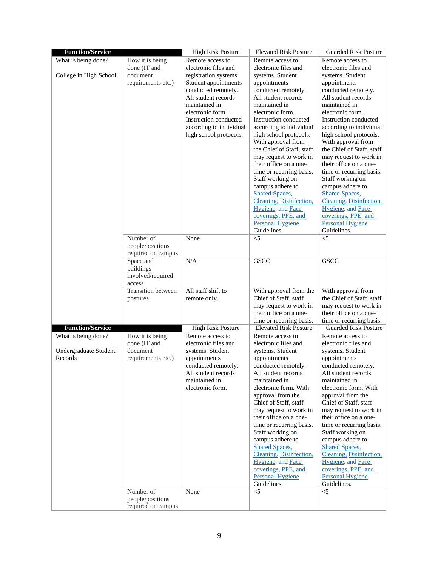| <b>Function/Service</b>          |                                                       | <b>High Risk Posture</b>                                                                                                                                                                                       | <b>Elevated Risk Posture</b>                                                                                                                                                                                                                                                                                                                                                                                                                                                                                           | Guarded Risk Posture                                                                                                                                                                                                                                                                                                                                                                                                                                                                                                   |
|----------------------------------|-------------------------------------------------------|----------------------------------------------------------------------------------------------------------------------------------------------------------------------------------------------------------------|------------------------------------------------------------------------------------------------------------------------------------------------------------------------------------------------------------------------------------------------------------------------------------------------------------------------------------------------------------------------------------------------------------------------------------------------------------------------------------------------------------------------|------------------------------------------------------------------------------------------------------------------------------------------------------------------------------------------------------------------------------------------------------------------------------------------------------------------------------------------------------------------------------------------------------------------------------------------------------------------------------------------------------------------------|
| What is being done?              | How it is being<br>done (IT and                       | Remote access to<br>electronic files and                                                                                                                                                                       | Remote access to<br>electronic files and                                                                                                                                                                                                                                                                                                                                                                                                                                                                               | Remote access to<br>electronic files and                                                                                                                                                                                                                                                                                                                                                                                                                                                                               |
| College in High School           | document<br>requirements etc.)                        | registration systems.<br>Student appointments<br>conducted remotely.<br>All student records<br>maintained in<br>electronic form.<br>Instruction conducted<br>according to individual<br>high school protocols. | systems. Student<br>appointments<br>conducted remotely.<br>All student records<br>maintained in<br>electronic form.<br>Instruction conducted<br>according to individual<br>high school protocols.<br>With approval from<br>the Chief of Staff, staff<br>may request to work in<br>their office on a one-<br>time or recurring basis.<br>Staff working on<br>campus adhere to<br><b>Shared Spaces,</b><br>Cleaning, Disinfection,<br>Hygiene, and Face<br>coverings, PPE, and<br><b>Personal Hygiene</b><br>Guidelines. | systems. Student<br>appointments<br>conducted remotely.<br>All student records<br>maintained in<br>electronic form.<br>Instruction conducted<br>according to individual<br>high school protocols.<br>With approval from<br>the Chief of Staff, staff<br>may request to work in<br>their office on a one-<br>time or recurring basis.<br>Staff working on<br>campus adhere to<br><b>Shared Spaces,</b><br>Cleaning, Disinfection,<br>Hygiene, and Face<br>coverings, PPE, and<br><b>Personal Hygiene</b><br>Guidelines. |
|                                  | Number of                                             | None                                                                                                                                                                                                           | $<$ 5                                                                                                                                                                                                                                                                                                                                                                                                                                                                                                                  | $<$ 5                                                                                                                                                                                                                                                                                                                                                                                                                                                                                                                  |
|                                  | people/positions<br>required on campus                |                                                                                                                                                                                                                |                                                                                                                                                                                                                                                                                                                                                                                                                                                                                                                        |                                                                                                                                                                                                                                                                                                                                                                                                                                                                                                                        |
|                                  | Space and<br>buildings<br>involved/required<br>access | N/A                                                                                                                                                                                                            | <b>GSCC</b>                                                                                                                                                                                                                                                                                                                                                                                                                                                                                                            | <b>GSCC</b>                                                                                                                                                                                                                                                                                                                                                                                                                                                                                                            |
|                                  | Transition between<br>postures                        | All staff shift to<br>remote only.                                                                                                                                                                             | With approval from the<br>Chief of Staff, staff<br>may request to work in<br>their office on a one-                                                                                                                                                                                                                                                                                                                                                                                                                    | With approval from<br>the Chief of Staff, staff<br>may request to work in<br>their office on a one-                                                                                                                                                                                                                                                                                                                                                                                                                    |
|                                  |                                                       |                                                                                                                                                                                                                | time or recurring basis.                                                                                                                                                                                                                                                                                                                                                                                                                                                                                               | time or recurring basis.                                                                                                                                                                                                                                                                                                                                                                                                                                                                                               |
| <b>Function/Service</b>          |                                                       | <b>High Risk Posture</b>                                                                                                                                                                                       | <b>Elevated Risk Posture</b>                                                                                                                                                                                                                                                                                                                                                                                                                                                                                           | <b>Guarded Risk Posture</b>                                                                                                                                                                                                                                                                                                                                                                                                                                                                                            |
| What is being done?              | How it is being<br>done (IT and                       | Remote access to<br>electronic files and                                                                                                                                                                       | Remote access to<br>electronic files and                                                                                                                                                                                                                                                                                                                                                                                                                                                                               | Remote access to<br>electronic files and                                                                                                                                                                                                                                                                                                                                                                                                                                                                               |
| Undergraduate Student<br>Records | document<br>requirements etc.)                        | systems. Student<br>appointments<br>conducted remotely.<br>All student records<br>maintained in<br>electronic form.                                                                                            | systems. Student<br>appointments<br>conducted remotely.<br>All student records<br>maintained in<br>electronic form. With<br>approval from the<br>Chief of Staff, staff<br>may request to work in<br>their office on a one-<br>time or recurring basis.<br>Staff working on<br>campus adhere to<br><b>Shared Spaces,</b><br>Cleaning, Disinfection,<br>Hygiene, and Face<br>coverings, PPE, and<br><b>Personal Hygiene</b><br>Guidelines.                                                                               | systems. Student<br>appointments<br>conducted remotely.<br>All student records<br>maintained in<br>electronic form. With<br>approval from the<br>Chief of Staff, staff<br>may request to work in<br>their office on a one-<br>time or recurring basis.<br>Staff working on<br>campus adhere to<br><b>Shared Spaces,</b><br>Cleaning, Disinfection,<br>Hygiene, and Face<br>coverings, PPE, and<br><b>Personal Hygiene</b><br>Guidelines.                                                                               |
|                                  | Number of<br>people/positions<br>required on campus   | None                                                                                                                                                                                                           | $<$ 5                                                                                                                                                                                                                                                                                                                                                                                                                                                                                                                  | $<$ 5                                                                                                                                                                                                                                                                                                                                                                                                                                                                                                                  |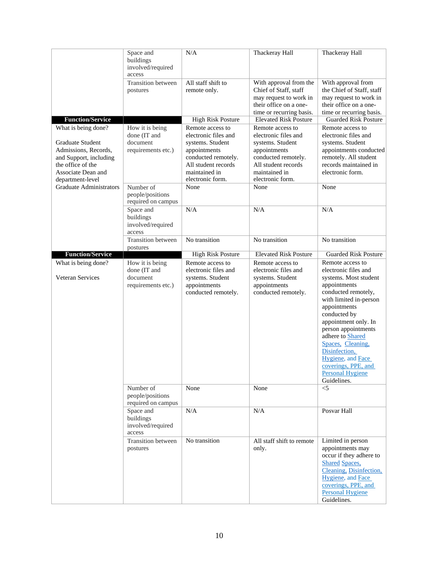|                                                                                                                                                          | Space and<br>buildings<br>involved/required<br>access                          | N/A                                                                                                                                                             | Thackeray Hall                                                                                                                                                  | Thackeray Hall                                                                                                                                                                                                                                                                                                                                                             |
|----------------------------------------------------------------------------------------------------------------------------------------------------------|--------------------------------------------------------------------------------|-----------------------------------------------------------------------------------------------------------------------------------------------------------------|-----------------------------------------------------------------------------------------------------------------------------------------------------------------|----------------------------------------------------------------------------------------------------------------------------------------------------------------------------------------------------------------------------------------------------------------------------------------------------------------------------------------------------------------------------|
|                                                                                                                                                          | <b>Transition</b> between<br>postures                                          | All staff shift to<br>remote only.                                                                                                                              | With approval from the<br>Chief of Staff, staff<br>may request to work in<br>their office on a one-<br>time or recurring basis.                                 | With approval from<br>the Chief of Staff, staff<br>may request to work in<br>their office on a one-<br>time or recurring basis.                                                                                                                                                                                                                                            |
| <b>Function/Service</b>                                                                                                                                  |                                                                                | <b>High Risk Posture</b>                                                                                                                                        | <b>Elevated Risk Posture</b>                                                                                                                                    | <b>Guarded Risk Posture</b>                                                                                                                                                                                                                                                                                                                                                |
| What is being done?<br>Graduate Student<br>Admissions, Records,<br>and Support, including<br>the office of the<br>Associate Dean and<br>department-level | How it is being<br>done (IT and<br>document<br>requirements etc.)              | Remote access to<br>electronic files and<br>systems. Student<br>appointments<br>conducted remotely.<br>All student records<br>maintained in<br>electronic form. | Remote access to<br>electronic files and<br>systems. Student<br>appointments<br>conducted remotely.<br>All student records<br>maintained in<br>electronic form. | Remote access to<br>electronic files and<br>systems. Student<br>appointments conducted<br>remotely. All student<br>records maintained in<br>electronic form.                                                                                                                                                                                                               |
| <b>Graduate Administrators</b>                                                                                                                           | Number of<br>people/positions<br>required on campus                            | None                                                                                                                                                            | None                                                                                                                                                            | None                                                                                                                                                                                                                                                                                                                                                                       |
|                                                                                                                                                          | Space and<br>buildings<br>involved/required<br>access                          | N/A                                                                                                                                                             | N/A                                                                                                                                                             | N/A                                                                                                                                                                                                                                                                                                                                                                        |
|                                                                                                                                                          | Transition between<br>postures                                                 | No transition                                                                                                                                                   | No transition                                                                                                                                                   | No transition                                                                                                                                                                                                                                                                                                                                                              |
| <b>Function/Service</b>                                                                                                                                  |                                                                                | <b>High Risk Posture</b>                                                                                                                                        | <b>Elevated Risk Posture</b>                                                                                                                                    | <b>Guarded Risk Posture</b>                                                                                                                                                                                                                                                                                                                                                |
| What is being done?<br>Veteran Services                                                                                                                  | How it is being<br>done (IT and<br>document<br>requirements etc.)<br>Number of | Remote access to<br>electronic files and<br>systems. Student<br>appointments<br>conducted remotely.<br>None                                                     | Remote access to<br>electronic files and<br>systems. Student<br>appointments<br>conducted remotely.<br>None                                                     | Remote access to<br>electronic files and<br>systems. Most student<br>appointments<br>conducted remotely,<br>with limited in-person<br>appointments<br>conducted by<br>appointment only. In<br>person appointments<br>adhere to Shared<br>Spaces, Cleaning,<br>Disinfection,<br>Hygiene, and Face<br>coverings, PPE, and<br><b>Personal Hygiene</b><br>Guidelines.<br>$<$ 5 |
|                                                                                                                                                          | people/positions<br>required on campus                                         |                                                                                                                                                                 |                                                                                                                                                                 |                                                                                                                                                                                                                                                                                                                                                                            |
|                                                                                                                                                          | Space and<br>buildings<br>involved/required<br>access                          | $\rm N/A$                                                                                                                                                       | N/A                                                                                                                                                             | Posvar Hall                                                                                                                                                                                                                                                                                                                                                                |
|                                                                                                                                                          | Transition between<br>postures                                                 | No transition                                                                                                                                                   | All staff shift to remote<br>only.                                                                                                                              | Limited in person<br>appointments may<br>occur if they adhere to<br><b>Shared Spaces,</b><br>Cleaning, Disinfection,<br>Hygiene, and Face<br>coverings, PPE, and<br><b>Personal Hygiene</b><br>Guidelines.                                                                                                                                                                 |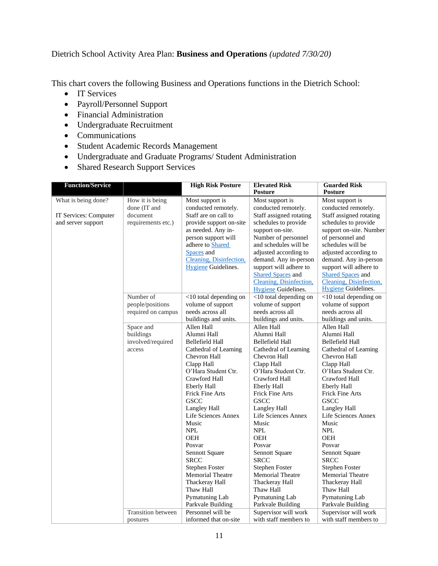## Dietrich School Activity Area Plan: **Business and Operations** *(updated 7/30/20)*

This chart covers the following Business and Operations functions in the Dietrich School:

- IT Services
- Payroll/Personnel Support
- Financial Administration
- Undergraduate Recruitment
- Communications
- Student Academic Records Management
- Undergraduate and Graduate Programs/ Student Administration
- Shared Research Support Services

| <b>Function/Service</b>                      |                                                       | <b>High Risk Posture</b>                                                                                                                                                                                                                                                                                                                                                                                                        | <b>Elevated Risk</b><br><b>Posture</b>                                                                                                                                                                                                                                                                                                                                                                                   | <b>Guarded Risk</b><br><b>Posture</b>                                                                                                                                                                                                                                                                                                                                                                                           |
|----------------------------------------------|-------------------------------------------------------|---------------------------------------------------------------------------------------------------------------------------------------------------------------------------------------------------------------------------------------------------------------------------------------------------------------------------------------------------------------------------------------------------------------------------------|--------------------------------------------------------------------------------------------------------------------------------------------------------------------------------------------------------------------------------------------------------------------------------------------------------------------------------------------------------------------------------------------------------------------------|---------------------------------------------------------------------------------------------------------------------------------------------------------------------------------------------------------------------------------------------------------------------------------------------------------------------------------------------------------------------------------------------------------------------------------|
| What is being done?<br>IT Services: Computer | How it is being<br>done (IT and<br>document           | Most support is<br>conducted remotely.<br>Staff are on call to                                                                                                                                                                                                                                                                                                                                                                  | Most support is<br>conducted remotely.<br>Staff assigned rotating                                                                                                                                                                                                                                                                                                                                                        | Most support is<br>conducted remotely.<br>Staff assigned rotating                                                                                                                                                                                                                                                                                                                                                               |
| and server support                           | requirements etc.)                                    | provide support on-site<br>as needed. Any in-<br>person support will<br>adhere to Shared<br>Spaces and<br>Cleaning, Disinfection,<br><b>Hygiene</b> Guidelines.                                                                                                                                                                                                                                                                 | schedules to provide<br>support on-site.<br>Number of personnel<br>and schedules will be<br>adjusted according to<br>demand. Any in-person<br>support will adhere to<br><b>Shared Spaces</b> and<br>Cleaning, Disinfection,<br><b>Hygiene</b> Guidelines.                                                                                                                                                                | schedules to provide<br>support on-site. Number<br>of personnel and<br>schedules will be<br>adjusted according to<br>demand. Any in-person<br>support will adhere to<br><b>Shared Spaces and</b><br>Cleaning, Disinfection,<br><b>Hygiene Guidelines.</b>                                                                                                                                                                       |
|                                              | Number of<br>people/positions<br>required on campus   | <10 total depending on<br>volume of support<br>needs across all<br>buildings and units.                                                                                                                                                                                                                                                                                                                                         | $<$ 10 total depending on<br>volume of support<br>needs across all<br>buildings and units.                                                                                                                                                                                                                                                                                                                               | <10 total depending on<br>volume of support<br>needs across all<br>buildings and units.                                                                                                                                                                                                                                                                                                                                         |
|                                              | Space and<br>buildings<br>involved/required<br>access | Allen Hall<br>Alumni Hall<br>Bellefield Hall<br>Cathedral of Learning<br>Chevron Hall<br>Clapp Hall<br>O'Hara Student Ctr.<br>Crawford Hall<br><b>Eberly Hall</b><br>Frick Fine Arts<br><b>GSCC</b><br>Langley Hall<br>Life Sciences Annex<br>Music<br><b>NPL</b><br><b>OEH</b><br>Posvar<br>Sennott Square<br><b>SRCC</b><br><b>Stephen Foster</b><br><b>Memorial Theatre</b><br>Thackeray Hall<br>Thaw Hall<br>Pymatuning Lab | Allen Hall<br>Alumni Hall<br><b>Bellefield Hall</b><br>Cathedral of Learning<br>Chevron Hall<br>Clapp Hall<br>O'Hara Student Ctr.<br>Crawford Hall<br><b>Eberly Hall</b><br>Frick Fine Arts<br><b>GSCC</b><br>Langley Hall<br>Life Sciences Annex<br>Music<br><b>NPL</b><br>OEH<br>Posvar<br>Sennott Square<br><b>SRCC</b><br>Stephen Foster<br><b>Memorial Theatre</b><br>Thackeray Hall<br>Thaw Hall<br>Pymatuning Lab | Allen Hall<br>Alumni Hall<br>Bellefield Hall<br>Cathedral of Learning<br>Chevron Hall<br>Clapp Hall<br>O'Hara Student Ctr.<br>Crawford Hall<br><b>Eberly Hall</b><br>Frick Fine Arts<br><b>GSCC</b><br>Langley Hall<br>Life Sciences Annex<br>Music<br><b>NPL</b><br><b>OEH</b><br>Posvar<br>Sennott Square<br><b>SRCC</b><br><b>Stephen Foster</b><br><b>Memorial Theatre</b><br>Thackeray Hall<br>Thaw Hall<br>Pymatuning Lab |
|                                              | <b>Transition</b> between<br>postures                 | Parkvale Building<br>Personnel will be<br>informed that on-site                                                                                                                                                                                                                                                                                                                                                                 | Parkvale Building<br>Supervisor will work<br>with staff members to                                                                                                                                                                                                                                                                                                                                                       | Parkvale Building<br>Supervisor will work<br>with staff members to                                                                                                                                                                                                                                                                                                                                                              |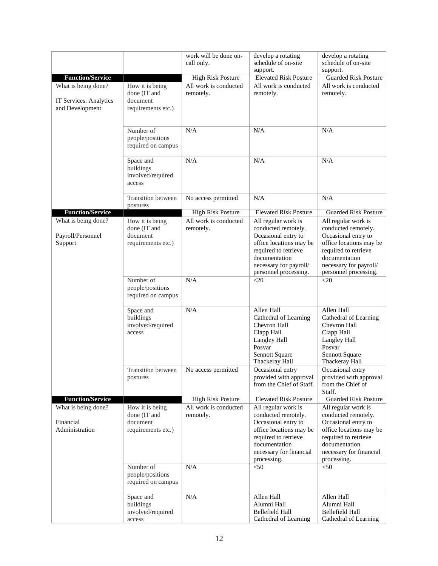|                                                                  |                                                                   | work will be done on-<br>call only. | develop a rotating<br>schedule of on-site<br>support.                                                                                                                                    | develop a rotating<br>schedule of on-site<br>support.                                                                                                                                    |
|------------------------------------------------------------------|-------------------------------------------------------------------|-------------------------------------|------------------------------------------------------------------------------------------------------------------------------------------------------------------------------------------|------------------------------------------------------------------------------------------------------------------------------------------------------------------------------------------|
| <b>Function/Service</b>                                          |                                                                   | <b>High Risk Posture</b>            | <b>Elevated Risk Posture</b>                                                                                                                                                             | <b>Guarded Risk Posture</b>                                                                                                                                                              |
| What is being done?<br>IT Services: Analytics<br>and Development | How it is being<br>done (IT and<br>document<br>requirements etc.) | All work is conducted<br>remotely.  | All work is conducted<br>remotely.                                                                                                                                                       | All work is conducted<br>remotely.                                                                                                                                                       |
|                                                                  | Number of<br>people/positions<br>required on campus               | N/A                                 | N/A                                                                                                                                                                                      | N/A                                                                                                                                                                                      |
|                                                                  | Space and<br>buildings<br>involved/required<br>access             | N/A                                 | N/A                                                                                                                                                                                      | N/A                                                                                                                                                                                      |
|                                                                  | <b>Transition</b> between<br>postures                             | No access permitted                 | N/A                                                                                                                                                                                      | N/A                                                                                                                                                                                      |
| <b>Function/Service</b>                                          |                                                                   | <b>High Risk Posture</b>            | <b>Elevated Risk Posture</b>                                                                                                                                                             | <b>Guarded Risk Posture</b>                                                                                                                                                              |
| What is being done?<br>Payroll/Personnel<br>Support              | How it is being<br>done (IT and<br>document<br>requirements etc.) | All work is conducted<br>remotely.  | All regular work is<br>conducted remotely.<br>Occasional entry to<br>office locations may be<br>required to retrieve<br>documentation<br>necessary for payroll/<br>personnel processing. | All regular work is<br>conducted remotely.<br>Occasional entry to<br>office locations may be<br>required to retrieve<br>documentation<br>necessary for payroll/<br>personnel processing. |
|                                                                  | Number of<br>people/positions<br>required on campus               | N/A                                 | $<$ 20                                                                                                                                                                                   | $<$ 20                                                                                                                                                                                   |
|                                                                  | Space and<br>buildings<br>involved/required<br>access             | N/A                                 | Allen Hall<br>Cathedral of Learning<br>Chevron Hall<br>Clapp Hall<br>Langley Hall<br>Posvar<br>Sennott Square<br>Thackeray Hall                                                          | Allen Hall<br>Cathedral of Learning<br>Chevron Hall<br>Clapp Hall<br>Langley Hall<br>Posvar<br>Sennott Square<br>Thackeray Hall                                                          |
|                                                                  | Transition between<br>postures                                    | No access permitted                 | Occasional entry<br>provided with approval<br>from the Chief of Staff.                                                                                                                   | Occasional entry<br>provided with approval<br>from the Chief of<br>Staff.                                                                                                                |
| <b>Function/Service</b>                                          |                                                                   | <b>High Risk Posture</b>            | <b>Elevated Risk Posture</b>                                                                                                                                                             | <b>Guarded Risk Posture</b>                                                                                                                                                              |
| What is being done?<br>Financial<br>Administration               | How it is being<br>done (IT and<br>document<br>requirements etc.) | All work is conducted<br>remotely.  | All regular work is<br>conducted remotely.<br>Occasional entry to<br>office locations may be<br>required to retrieve<br>documentation<br>necessary for financial<br>processing.          | All regular work is<br>conducted remotely.<br>Occasional entry to<br>office locations may be<br>required to retrieve<br>documentation<br>necessary for financial<br>processing.          |
|                                                                  | Number of<br>people/positions<br>required on campus               | N/A                                 | < 50                                                                                                                                                                                     | $<$ 50                                                                                                                                                                                   |
|                                                                  | Space and<br>buildings<br>involved/required<br>access             | N/A                                 | Allen Hall<br>Alumni Hall<br>Bellefield Hall<br>Cathedral of Learning                                                                                                                    | Allen Hall<br>Alumni Hall<br>Bellefield Hall<br>Cathedral of Learning                                                                                                                    |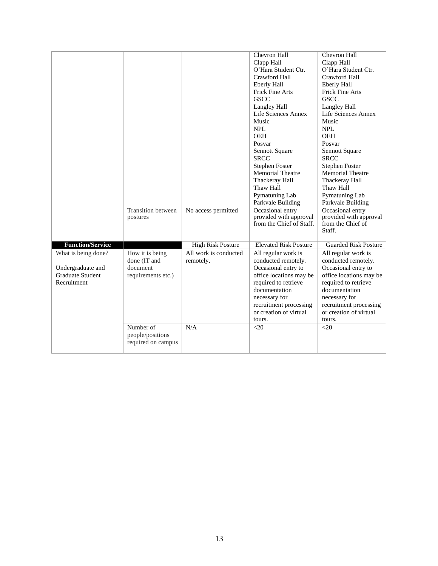|                                                                                    | <b>Transition</b> between<br>postures                             | No access permitted                | Chevron Hall<br>Clapp Hall<br>O'Hara Student Ctr.<br>Crawford Hall<br><b>Eberly Hall</b><br><b>Frick Fine Arts</b><br><b>GSCC</b><br><b>Langley Hall</b><br>Life Sciences Annex<br>Music<br><b>NPL</b><br><b>OEH</b><br>Posvar<br>Sennott Square<br><b>SRCC</b><br><b>Stephen Foster</b><br><b>Memorial Theatre</b><br>Thackeray Hall<br>Thaw Hall<br>Pymatuning Lab<br>Parkvale Building<br>Occasional entry<br>provided with approval | Chevron Hall<br>Clapp Hall<br>O'Hara Student Ctr.<br>Crawford Hall<br><b>Eberly Hall</b><br><b>Frick Fine Arts</b><br><b>GSCC</b><br><b>Langley Hall</b><br>Life Sciences Annex<br>Music<br><b>NPL</b><br><b>OEH</b><br>Posvar<br>Sennott Square<br><b>SRCC</b><br><b>Stephen Foster</b><br>Memorial Theatre<br>Thackeray Hall<br>Thaw Hall<br>Pymatuning Lab<br>Parkvale Building<br>Occasional entry<br>provided with approval |
|------------------------------------------------------------------------------------|-------------------------------------------------------------------|------------------------------------|-----------------------------------------------------------------------------------------------------------------------------------------------------------------------------------------------------------------------------------------------------------------------------------------------------------------------------------------------------------------------------------------------------------------------------------------|----------------------------------------------------------------------------------------------------------------------------------------------------------------------------------------------------------------------------------------------------------------------------------------------------------------------------------------------------------------------------------------------------------------------------------|
|                                                                                    |                                                                   |                                    | from the Chief of Staff.                                                                                                                                                                                                                                                                                                                                                                                                                | from the Chief of<br>Staff.                                                                                                                                                                                                                                                                                                                                                                                                      |
| <b>Function/Service</b>                                                            |                                                                   | <b>High Risk Posture</b>           | <b>Elevated Risk Posture</b>                                                                                                                                                                                                                                                                                                                                                                                                            | <b>Guarded Risk Posture</b>                                                                                                                                                                                                                                                                                                                                                                                                      |
| What is being done?<br>Undergraduate and<br><b>Graduate Student</b><br>Recruitment | How it is being<br>done (IT and<br>document<br>requirements etc.) | All work is conducted<br>remotely. | All regular work is<br>conducted remotely.<br>Occasional entry to<br>office locations may be<br>required to retrieve<br>documentation<br>necessary for<br>recruitment processing<br>or creation of virtual<br>tours.                                                                                                                                                                                                                    | All regular work is<br>conducted remotely.<br>Occasional entry to<br>office locations may be<br>required to retrieve<br>documentation<br>necessary for<br>recruitment processing<br>or creation of virtual<br>tours.                                                                                                                                                                                                             |
|                                                                                    | Number of<br>people/positions<br>required on campus               | N/A                                | $<$ 20                                                                                                                                                                                                                                                                                                                                                                                                                                  | $<$ 20                                                                                                                                                                                                                                                                                                                                                                                                                           |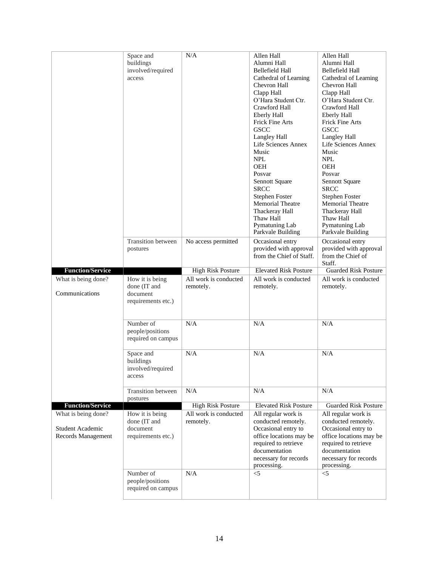|                         | Space and                             | N/A                      | Allen Hall                   | Allen Hall                  |
|-------------------------|---------------------------------------|--------------------------|------------------------------|-----------------------------|
|                         | buildings                             |                          | Alumni Hall                  | Alumni Hall                 |
|                         | involved/required                     |                          | <b>Bellefield Hall</b>       | <b>Bellefield Hall</b>      |
|                         | access                                |                          | Cathedral of Learning        | Cathedral of Learning       |
|                         |                                       |                          | Chevron Hall                 | Chevron Hall                |
|                         |                                       |                          | Clapp Hall                   | Clapp Hall                  |
|                         |                                       |                          | O'Hara Student Ctr.          | O'Hara Student Ctr.         |
|                         |                                       |                          | Crawford Hall                | Crawford Hall               |
|                         |                                       |                          | <b>Eberly Hall</b>           | <b>Eberly Hall</b>          |
|                         |                                       |                          | <b>Frick Fine Arts</b>       | Frick Fine Arts             |
|                         |                                       |                          | <b>GSCC</b>                  | <b>GSCC</b>                 |
|                         |                                       |                          | Langley Hall                 | Langley Hall                |
|                         |                                       |                          | Life Sciences Annex          | Life Sciences Annex         |
|                         |                                       |                          | Music                        | Music                       |
|                         |                                       |                          | <b>NPL</b>                   | <b>NPL</b>                  |
|                         |                                       |                          | <b>OEH</b>                   | <b>OEH</b>                  |
|                         |                                       |                          | Posvar                       | Posvar                      |
|                         |                                       |                          | Sennott Square               | Sennott Square              |
|                         |                                       |                          | <b>SRCC</b>                  | <b>SRCC</b>                 |
|                         |                                       |                          | <b>Stephen Foster</b>        | <b>Stephen Foster</b>       |
|                         |                                       |                          | <b>Memorial Theatre</b>      | <b>Memorial Theatre</b>     |
|                         |                                       |                          | Thackeray Hall               | Thackeray Hall              |
|                         |                                       |                          | Thaw Hall<br>Pymatuning Lab  | Thaw Hall<br>Pymatuning Lab |
|                         |                                       |                          | Parkvale Building            | Parkvale Building           |
|                         | <b>Transition</b> between             | No access permitted      | Occasional entry             | Occasional entry            |
|                         | postures                              |                          | provided with approval       | provided with approval      |
|                         |                                       |                          | from the Chief of Staff.     | from the Chief of           |
|                         |                                       |                          |                              | Staff.                      |
| <b>Function/Service</b> |                                       | <b>High Risk Posture</b> | <b>Elevated Risk Posture</b> | <b>Guarded Risk Posture</b> |
|                         |                                       |                          |                              |                             |
|                         |                                       | All work is conducted    | All work is conducted        |                             |
| What is being done?     | How it is being<br>done (IT and       |                          |                              | All work is conducted       |
| Communications          | document                              | remotely.                | remotely.                    | remotely.                   |
|                         | requirements etc.)                    |                          |                              |                             |
|                         |                                       |                          |                              |                             |
|                         |                                       |                          |                              |                             |
|                         | Number of                             | N/A                      | N/A                          | N/A                         |
|                         | people/positions                      |                          |                              |                             |
|                         | required on campus                    |                          |                              |                             |
|                         |                                       |                          |                              |                             |
|                         | Space and                             | N/A                      | N/A                          | N/A                         |
|                         | buildings                             |                          |                              |                             |
|                         | involved/required                     |                          |                              |                             |
|                         | access                                |                          |                              |                             |
|                         |                                       |                          |                              |                             |
|                         | <b>Transition</b> between<br>postures | N/A                      | N/A                          | N/A                         |
| <b>Function/Service</b> |                                       | <b>High Risk Posture</b> | <b>Elevated Risk Posture</b> | <b>Guarded Risk Posture</b> |
| What is being done?     | How it is being                       | All work is conducted    | All regular work is          | All regular work is         |
|                         | done (IT and                          | remotely.                | conducted remotely.          | conducted remotely.         |
| <b>Student Academic</b> | document                              |                          | Occasional entry to          | Occasional entry to         |
| Records Management      | requirements etc.)                    |                          | office locations may be      | office locations may be     |
|                         |                                       |                          | required to retrieve         | required to retrieve        |
|                         |                                       |                          | documentation                | documentation               |
|                         |                                       |                          | necessary for records        | necessary for records       |
|                         |                                       |                          | processing.                  | processing.                 |
|                         | Number of                             | N/A                      | $<$ 5                        | $\leq$                      |
|                         | people/positions                      |                          |                              |                             |
|                         | required on campus                    |                          |                              |                             |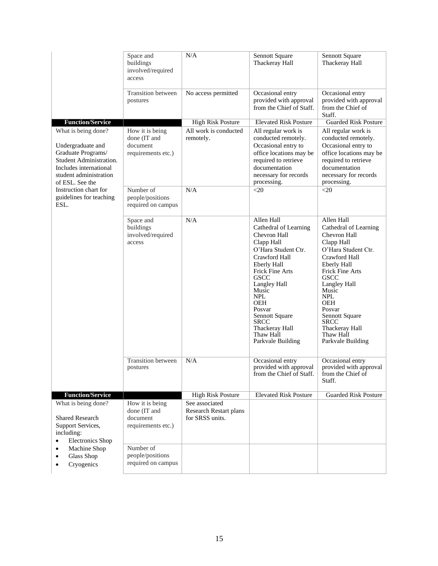|                                                                                                                                                                  | Space and<br>buildings<br>involved/required<br>access             | N/A                                                                | Sennott Square<br>Thackeray Hall                                                                                                                                                                                                                                                                                      | Sennott Square<br>Thackeray Hall                                                                                                                                                                                                                                                                                      |
|------------------------------------------------------------------------------------------------------------------------------------------------------------------|-------------------------------------------------------------------|--------------------------------------------------------------------|-----------------------------------------------------------------------------------------------------------------------------------------------------------------------------------------------------------------------------------------------------------------------------------------------------------------------|-----------------------------------------------------------------------------------------------------------------------------------------------------------------------------------------------------------------------------------------------------------------------------------------------------------------------|
|                                                                                                                                                                  | <b>Transition between</b><br>postures                             | No access permitted                                                | Occasional entry<br>provided with approval<br>from the Chief of Staff.                                                                                                                                                                                                                                                | Occasional entry<br>provided with approval<br>from the Chief of<br>Staff.                                                                                                                                                                                                                                             |
| <b>Function/Service</b>                                                                                                                                          |                                                                   | <b>High Risk Posture</b>                                           | <b>Elevated Risk Posture</b>                                                                                                                                                                                                                                                                                          | <b>Guarded Risk Posture</b>                                                                                                                                                                                                                                                                                           |
| What is being done?<br>Undergraduate and<br>Graduate Programs/<br>Student Administration.<br>Includes international<br>student administration<br>of ESL. See the | How it is being<br>done (IT and<br>document<br>requirements etc.) | All work is conducted<br>remotely.                                 | All regular work is<br>conducted remotely.<br>Occasional entry to<br>office locations may be<br>required to retrieve<br>documentation<br>necessary for records<br>processing.                                                                                                                                         | All regular work is<br>conducted remotely.<br>Occasional entry to<br>office locations may be<br>required to retrieve<br>documentation<br>necessary for records<br>processing.                                                                                                                                         |
| Instruction chart for<br>guidelines for teaching<br>ESL.                                                                                                         | Number of<br>people/positions<br>required on campus               | N/A                                                                | $<$ 20                                                                                                                                                                                                                                                                                                                | $<$ 20                                                                                                                                                                                                                                                                                                                |
|                                                                                                                                                                  | Space and<br>buildings<br>involved/required<br>access             | N/A                                                                | Allen Hall<br>Cathedral of Learning<br>Chevron Hall<br>Clapp Hall<br>O'Hara Student Ctr.<br>Crawford Hall<br><b>Eberly Hall</b><br><b>Frick Fine Arts</b><br><b>GSCC</b><br>Langley Hall<br>Music<br><b>NPL</b><br>OEH<br>Posvar<br>Sennott Square<br><b>SRCC</b><br>Thackeray Hall<br>Thaw Hall<br>Parkvale Building | Allen Hall<br>Cathedral of Learning<br>Chevron Hall<br>Clapp Hall<br>O'Hara Student Ctr.<br>Crawford Hall<br><b>Eberly Hall</b><br><b>Frick Fine Arts</b><br><b>GSCC</b><br>Langley Hall<br>Music<br><b>NPL</b><br>OEH<br>Posvar<br>Sennott Square<br><b>SRCC</b><br>Thackeray Hall<br>Thaw Hall<br>Parkvale Building |
|                                                                                                                                                                  | Transition between<br>postures                                    | N/A                                                                | Occasional entry<br>provided with approval<br>from the Chief of Staff.                                                                                                                                                                                                                                                | Occasional entry<br>provided with approval<br>from the Chief of<br>Staff.                                                                                                                                                                                                                                             |
| <b>Function/Service</b>                                                                                                                                          |                                                                   | <b>High Risk Posture</b>                                           | <b>Elevated Risk Posture</b>                                                                                                                                                                                                                                                                                          | <b>Guarded Risk Posture</b>                                                                                                                                                                                                                                                                                           |
| What is being done?<br><b>Shared Research</b><br>Support Services,<br>including:<br><b>Electronics Shop</b>                                                      | How it is being<br>done (IT and<br>document<br>requirements etc.) | See associated<br><b>Research Restart plans</b><br>for SRSS units. |                                                                                                                                                                                                                                                                                                                       |                                                                                                                                                                                                                                                                                                                       |
| Machine Shop<br>Glass Shop<br>Cryogenics<br>$\bullet$                                                                                                            | Number of<br>people/positions<br>required on campus               |                                                                    |                                                                                                                                                                                                                                                                                                                       |                                                                                                                                                                                                                                                                                                                       |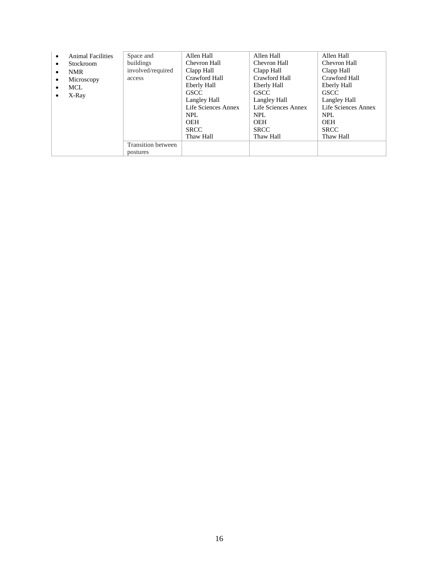| $\bullet$ | <b>Animal Facilities</b> | Space and                 | Allen Hall          | Allen Hall          | Allen Hall          |
|-----------|--------------------------|---------------------------|---------------------|---------------------|---------------------|
| ٠         | Stockroom                | buildings                 | Chevron Hall        | Chevron Hall        | Chevron Hall        |
| ٠         | <b>NMR</b>               | involved/required         | Clapp Hall          | Clapp Hall          | Clapp Hall          |
| ٠         | Microscopy               | access                    | Crawford Hall       | Crawford Hall       | Crawford Hall       |
| ٠         | MCL.                     |                           | Eberly Hall         | Eberly Hall         | Eberly Hall         |
|           | X-Ray                    |                           | <b>GSCC</b>         | <b>GSCC</b>         | <b>GSCC</b>         |
|           |                          |                           | Langley Hall        | Langley Hall        | Langley Hall        |
|           |                          |                           | Life Sciences Annex | Life Sciences Annex | Life Sciences Annex |
|           |                          |                           | <b>NPL</b>          | <b>NPL</b>          | <b>NPL</b>          |
|           |                          |                           | <b>OEH</b>          | <b>OEH</b>          | <b>OEH</b>          |
|           |                          |                           | <b>SRCC</b>         | <b>SRCC</b>         | <b>SRCC</b>         |
|           |                          |                           | Thaw Hall           | Thaw Hall           | Thaw Hall           |
|           |                          | <b>Transition between</b> |                     |                     |                     |
|           |                          | postures                  |                     |                     |                     |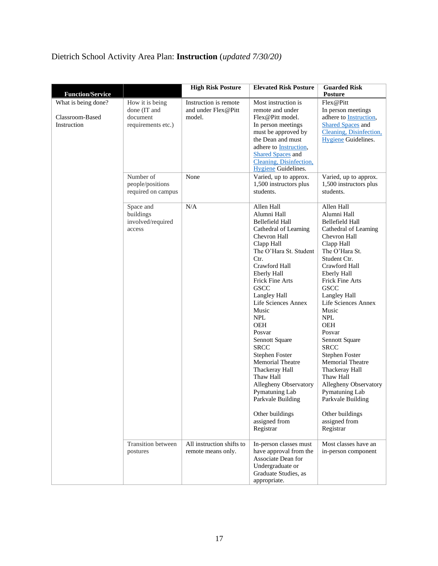## Dietrich School Activity Area Plan: **Instruction** (*updated 7/30/20)*

| <b>Function/Service</b>                               |                                                                   | <b>High Risk Posture</b>                               | <b>Elevated Risk Posture</b>                                                                                                                                                                                                                                                                                                                                                                                                                                                                                                                 | <b>Guarded Risk</b><br><b>Posture</b>                                                                                                                                                                                                                                                                                                                                                                                                                                                                                                               |
|-------------------------------------------------------|-------------------------------------------------------------------|--------------------------------------------------------|----------------------------------------------------------------------------------------------------------------------------------------------------------------------------------------------------------------------------------------------------------------------------------------------------------------------------------------------------------------------------------------------------------------------------------------------------------------------------------------------------------------------------------------------|-----------------------------------------------------------------------------------------------------------------------------------------------------------------------------------------------------------------------------------------------------------------------------------------------------------------------------------------------------------------------------------------------------------------------------------------------------------------------------------------------------------------------------------------------------|
| What is being done?<br>Classroom-Based<br>Instruction | How it is being<br>done (IT and<br>document<br>requirements etc.) | Instruction is remote<br>and under Flex@Pitt<br>model. | Most instruction is<br>remote and under<br>Flex@Pitt model.<br>In person meetings<br>must be approved by<br>the Dean and must<br>adhere to Instruction,<br><b>Shared Spaces</b> and<br>Cleaning, Disinfection,<br>Hygiene Guidelines.                                                                                                                                                                                                                                                                                                        | Flex@Pitt<br>In person meetings<br>adhere to <b>Instruction</b> ,<br><b>Shared Spaces and</b><br>Cleaning, Disinfection,<br><b>Hygiene</b> Guidelines.                                                                                                                                                                                                                                                                                                                                                                                              |
|                                                       | Number of<br>people/positions<br>required on campus               | None                                                   | Varied, up to approx.<br>1,500 instructors plus<br>students.                                                                                                                                                                                                                                                                                                                                                                                                                                                                                 | Varied, up to approx.<br>1,500 instructors plus<br>students.                                                                                                                                                                                                                                                                                                                                                                                                                                                                                        |
|                                                       | Space and<br>buildings<br>involved/required<br>access             | N/A                                                    | Allen Hall<br>Alumni Hall<br><b>Bellefield Hall</b><br>Cathedral of Learning<br>Chevron Hall<br>Clapp Hall<br>The O'Hara St. Student<br>Ctr.<br>Crawford Hall<br>Eberly Hall<br>Frick Fine Arts<br><b>GSCC</b><br>Langley Hall<br>Life Sciences Annex<br>Music<br>$\ensuremath{\mathsf{NPL}}$<br>OEH<br>Posvar<br>Sennott Square<br><b>SRCC</b><br>Stephen Foster<br><b>Memorial Theatre</b><br>Thackeray Hall<br>Thaw Hall<br>Allegheny Observatory<br>Pymatuning Lab<br>Parkvale Building<br>Other buildings<br>assigned from<br>Registrar | Allen Hall<br>Alumni Hall<br><b>Bellefield Hall</b><br>Cathedral of Learning<br>Chevron Hall<br>Clapp Hall<br>The O'Hara St.<br>Student Ctr.<br>Crawford Hall<br><b>Eberly Hall</b><br>Frick Fine Arts<br><b>GSCC</b><br>Langley Hall<br>Life Sciences Annex<br>Music<br>$\ensuremath{\mathsf{NPL}}$<br>OEH<br>Posvar<br>Sennott Square<br><b>SRCC</b><br>Stephen Foster<br><b>Memorial Theatre</b><br>Thackeray Hall<br>Thaw Hall<br>Allegheny Observatory<br>Pymatuning Lab<br>Parkvale Building<br>Other buildings<br>assigned from<br>Registrar |
|                                                       | <b>Transition</b> between<br>postures                             | All instruction shifts to<br>remote means only.        | In-person classes must<br>have approval from the<br>Associate Dean for<br>Undergraduate or<br>Graduate Studies, as<br>appropriate.                                                                                                                                                                                                                                                                                                                                                                                                           | Most classes have an<br>in-person component                                                                                                                                                                                                                                                                                                                                                                                                                                                                                                         |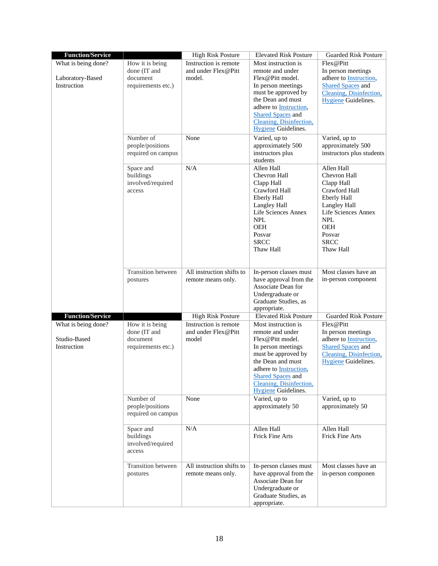| <b>Function/Service</b>                                |                                                                   | <b>High Risk Posture</b>                               | <b>Elevated Risk Posture</b>                                                                                                                                                                                                                         | <b>Guarded Risk Posture</b>                                                                                                                                                       |
|--------------------------------------------------------|-------------------------------------------------------------------|--------------------------------------------------------|------------------------------------------------------------------------------------------------------------------------------------------------------------------------------------------------------------------------------------------------------|-----------------------------------------------------------------------------------------------------------------------------------------------------------------------------------|
| What is being done?<br>Laboratory-Based<br>Instruction | How it is being<br>done (IT and<br>document<br>requirements etc.) | Instruction is remote<br>and under Flex@Pitt<br>model. | Most instruction is<br>remote and under<br>Flex@Pitt model.<br>In person meetings<br>must be approved by<br>the Dean and must<br>adhere to Instruction,<br><b>Shared Spaces</b> and<br>Cleaning, Disinfection,<br>Hygiene Guidelines.                | Flex@Pitt<br>In person meetings<br>adhere to Instruction,<br><b>Shared Spaces and</b><br>Cleaning, Disinfection,<br><b>Hygiene</b> Guidelines.                                    |
|                                                        | Number of<br>people/positions<br>required on campus               | None                                                   | Varied, up to<br>approximately 500<br>instructors plus<br>students                                                                                                                                                                                   | Varied, up to<br>approximately 500<br>instructors plus students                                                                                                                   |
|                                                        | Space and<br>buildings<br>involved/required<br>access             | N/A                                                    | Allen Hall<br>Chevron Hall<br>Clapp Hall<br>Crawford Hall<br><b>Eberly Hall</b><br>Langley Hall<br>Life Sciences Annex<br><b>NPL</b><br><b>OEH</b><br>Posvar<br><b>SRCC</b><br>Thaw Hall                                                             | Allen Hall<br>Chevron Hall<br>Clapp Hall<br>Crawford Hall<br><b>Eberly Hall</b><br>Langley Hall<br>Life Sciences Annex<br><b>NPL</b><br>OEH<br>Posvar<br><b>SRCC</b><br>Thaw Hall |
|                                                        | <b>Transition</b> between<br>postures                             | All instruction shifts to<br>remote means only.        | In-person classes must<br>have approval from the<br>Associate Dean for<br>Undergraduate or<br>Graduate Studies, as<br>appropriate.                                                                                                                   | Most classes have an<br>in-person component                                                                                                                                       |
| <b>Function/Service</b>                                |                                                                   | <b>High Risk Posture</b>                               | <b>Elevated Risk Posture</b>                                                                                                                                                                                                                         | <b>Guarded Risk Posture</b>                                                                                                                                                       |
| What is being done?<br>Studio-Based<br>Instruction     | How it is being<br>done (IT and<br>document<br>requirements etc.) | Instruction is remote<br>and under Flex@Pitt<br>model  | Most instruction is<br>remote and under<br>Flex@Pitt model.<br>In person meetings<br>must be approved by<br>the Dean and must<br>adhere to <b>Instruction</b> ,<br><b>Shared Spaces and</b><br>Cleaning, Disinfection,<br><b>Hygiene</b> Guidelines. | Flex@Pitt<br>In person meetings<br>adhere to <b>Instruction</b> ,<br><b>Shared Spaces</b> and<br>Cleaning, Disinfection,<br><b>Hygiene</b> Guidelines.                            |
|                                                        | Number of<br>people/positions<br>required on campus               | None                                                   | Varied, up to<br>approximately 50                                                                                                                                                                                                                    | Varied, up to<br>approximately 50                                                                                                                                                 |
|                                                        | Space and<br>buildings<br>involved/required<br>access             | N/A                                                    | Allen Hall<br>Frick Fine Arts                                                                                                                                                                                                                        | Allen Hall<br>Frick Fine Arts                                                                                                                                                     |
|                                                        | <b>Transition</b> between<br>postures                             | All instruction shifts to<br>remote means only.        | In-person classes must<br>have approval from the<br>Associate Dean for<br>Undergraduate or<br>Graduate Studies, as<br>appropriate.                                                                                                                   | Most classes have an<br>in-person componen                                                                                                                                        |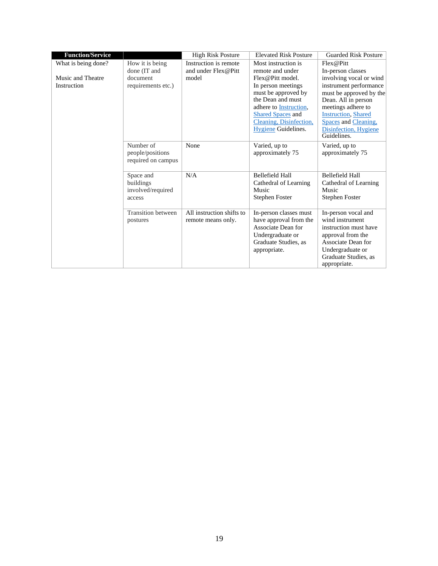| <b>Function/Service</b> |                           | <b>High Risk Posture</b>  | <b>Elevated Risk Posture</b>   | <b>Guarded Risk Posture</b>          |
|-------------------------|---------------------------|---------------------------|--------------------------------|--------------------------------------|
| What is being done?     | How it is being           | Instruction is remote     | Most instruction is            | Flex@Pitt                            |
|                         | done (IT and              | and under Flex@Pitt       | remote and under               | In-person classes                    |
| Music and Theatre       | document                  | model                     | Flex@Pitt model.               | involving vocal or wind              |
| Instruction             | requirements etc.)        |                           | In person meetings             | instrument performance               |
|                         |                           |                           | must be approved by            | must be approved by the              |
|                         |                           |                           | the Dean and must              | Dean. All in person                  |
|                         |                           |                           | adhere to <b>Instruction</b> , | meetings adhere to                   |
|                         |                           |                           | <b>Shared Spaces and</b>       | <b>Instruction</b> , Shared          |
|                         |                           |                           | Cleaning, Disinfection,        | Spaces and Cleaning,                 |
|                         |                           |                           | <b>Hygiene Guidelines.</b>     | Disinfection, Hygiene<br>Guidelines. |
|                         |                           |                           |                                |                                      |
|                         | Number of                 | None                      | Varied, up to                  | Varied, up to                        |
|                         | people/positions          |                           | approximately 75               | approximately 75                     |
|                         | required on campus        |                           |                                |                                      |
|                         | Space and                 | N/A                       | <b>Bellefield Hall</b>         | <b>Bellefield Hall</b>               |
|                         | buildings                 |                           | Cathedral of Learning          | Cathedral of Learning                |
|                         | involved/required         |                           | Music                          | Music                                |
|                         | access                    |                           | <b>Stephen Foster</b>          | Stephen Foster                       |
|                         |                           |                           |                                |                                      |
|                         | <b>Transition</b> between | All instruction shifts to | In-person classes must         | In-person vocal and                  |
|                         | postures                  | remote means only.        | have approval from the         | wind instrument                      |
|                         |                           |                           | Associate Dean for             | instruction must have                |
|                         |                           |                           | Undergraduate or               | approval from the                    |
|                         |                           |                           | Graduate Studies, as           | Associate Dean for                   |
|                         |                           |                           | appropriate.                   | Undergraduate or                     |
|                         |                           |                           |                                | Graduate Studies, as                 |
|                         |                           |                           |                                | appropriate.                         |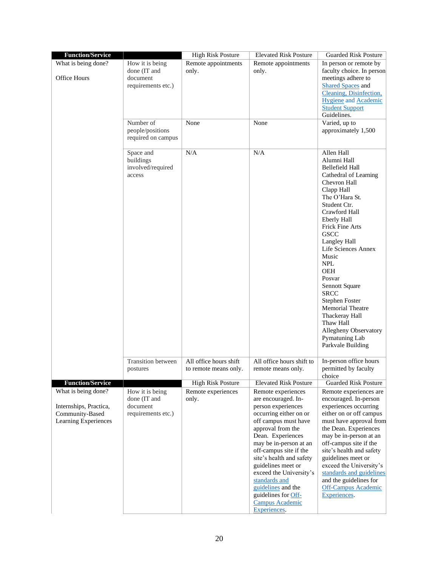| What is being done?<br>How it is being<br>Remote appointments<br>Remote appointments<br>In person or remote by<br>done (IT and<br>only.<br>faculty choice. In person<br>only.<br>Office Hours<br>document<br>meetings adhere to<br><b>Shared Spaces</b> and<br>requirements etc.)<br>Cleaning, Disinfection,<br><b>Hygiene</b> and <b>Academic</b><br><b>Student Support</b><br>Guidelines.<br>Number of<br>None<br>None<br>Varied, up to<br>people/positions<br>approximately 1,500<br>required on campus<br>N/A<br>Space and<br>N/A<br>Allen Hall<br>buildings<br>Alumni Hall<br>involved/required<br>Bellefield Hall<br>Cathedral of Learning<br>access<br>Chevron Hall<br>Clapp Hall<br>The O'Hara St.<br>Student Ctr.<br>Crawford Hall<br><b>Eberly Hall</b><br>Frick Fine Arts<br><b>GSCC</b><br><b>Langley Hall</b><br>Life Sciences Annex<br>Music<br><b>NPL</b><br><b>OEH</b><br>Posvar<br>Sennott Square<br><b>SRCC</b><br><b>Stephen Foster</b><br><b>Memorial Theatre</b><br>Thackeray Hall<br>Thaw Hall<br>Allegheny Observatory<br>Pymatuning Lab<br>Parkvale Building<br><b>Transition</b> between<br>All office hours shift<br>All office hours shift to<br>In-person office hours<br>permitted by faculty<br>to remote means only.<br>remote means only.<br>postures<br>choice<br><b>Elevated Risk Posture</b><br><b>Guarded Risk Posture</b><br><b>Function/Service</b><br><b>High Risk Posture</b><br>What is being done?<br>How it is being<br>Remote experiences<br>Remote experiences<br>Remote experiences are<br>are encouraged. In-<br>encouraged. In-person<br>done (IT and<br>only.<br>experiences occurring<br>document<br>person experiences<br>Internships, Practica,<br>occurring either on or<br>either on or off campus<br>Community-Based<br>requirements etc.)<br>off campus must have<br>must have approval from<br>Learning Experiences<br>approval from the<br>the Dean. Experiences | <b>Function/Service</b> | <b>High Risk Posture</b> | <b>Elevated Risk Posture</b> | <b>Guarded Risk Posture</b> |
|----------------------------------------------------------------------------------------------------------------------------------------------------------------------------------------------------------------------------------------------------------------------------------------------------------------------------------------------------------------------------------------------------------------------------------------------------------------------------------------------------------------------------------------------------------------------------------------------------------------------------------------------------------------------------------------------------------------------------------------------------------------------------------------------------------------------------------------------------------------------------------------------------------------------------------------------------------------------------------------------------------------------------------------------------------------------------------------------------------------------------------------------------------------------------------------------------------------------------------------------------------------------------------------------------------------------------------------------------------------------------------------------------------------------------------------------------------------------------------------------------------------------------------------------------------------------------------------------------------------------------------------------------------------------------------------------------------------------------------------------------------------------------------------------------------------------------------------------------------------------------------------------------------------------------|-------------------------|--------------------------|------------------------------|-----------------------------|
|                                                                                                                                                                                                                                                                                                                                                                                                                                                                                                                                                                                                                                                                                                                                                                                                                                                                                                                                                                                                                                                                                                                                                                                                                                                                                                                                                                                                                                                                                                                                                                                                                                                                                                                                                                                                                                                                                                                            |                         |                          |                              |                             |
|                                                                                                                                                                                                                                                                                                                                                                                                                                                                                                                                                                                                                                                                                                                                                                                                                                                                                                                                                                                                                                                                                                                                                                                                                                                                                                                                                                                                                                                                                                                                                                                                                                                                                                                                                                                                                                                                                                                            |                         |                          |                              |                             |
|                                                                                                                                                                                                                                                                                                                                                                                                                                                                                                                                                                                                                                                                                                                                                                                                                                                                                                                                                                                                                                                                                                                                                                                                                                                                                                                                                                                                                                                                                                                                                                                                                                                                                                                                                                                                                                                                                                                            |                         |                          |                              |                             |
|                                                                                                                                                                                                                                                                                                                                                                                                                                                                                                                                                                                                                                                                                                                                                                                                                                                                                                                                                                                                                                                                                                                                                                                                                                                                                                                                                                                                                                                                                                                                                                                                                                                                                                                                                                                                                                                                                                                            |                         |                          |                              |                             |
|                                                                                                                                                                                                                                                                                                                                                                                                                                                                                                                                                                                                                                                                                                                                                                                                                                                                                                                                                                                                                                                                                                                                                                                                                                                                                                                                                                                                                                                                                                                                                                                                                                                                                                                                                                                                                                                                                                                            |                         |                          |                              |                             |
|                                                                                                                                                                                                                                                                                                                                                                                                                                                                                                                                                                                                                                                                                                                                                                                                                                                                                                                                                                                                                                                                                                                                                                                                                                                                                                                                                                                                                                                                                                                                                                                                                                                                                                                                                                                                                                                                                                                            |                         |                          |                              |                             |
|                                                                                                                                                                                                                                                                                                                                                                                                                                                                                                                                                                                                                                                                                                                                                                                                                                                                                                                                                                                                                                                                                                                                                                                                                                                                                                                                                                                                                                                                                                                                                                                                                                                                                                                                                                                                                                                                                                                            |                         |                          |                              |                             |
|                                                                                                                                                                                                                                                                                                                                                                                                                                                                                                                                                                                                                                                                                                                                                                                                                                                                                                                                                                                                                                                                                                                                                                                                                                                                                                                                                                                                                                                                                                                                                                                                                                                                                                                                                                                                                                                                                                                            |                         |                          |                              |                             |
|                                                                                                                                                                                                                                                                                                                                                                                                                                                                                                                                                                                                                                                                                                                                                                                                                                                                                                                                                                                                                                                                                                                                                                                                                                                                                                                                                                                                                                                                                                                                                                                                                                                                                                                                                                                                                                                                                                                            |                         |                          |                              |                             |
|                                                                                                                                                                                                                                                                                                                                                                                                                                                                                                                                                                                                                                                                                                                                                                                                                                                                                                                                                                                                                                                                                                                                                                                                                                                                                                                                                                                                                                                                                                                                                                                                                                                                                                                                                                                                                                                                                                                            |                         |                          |                              |                             |
|                                                                                                                                                                                                                                                                                                                                                                                                                                                                                                                                                                                                                                                                                                                                                                                                                                                                                                                                                                                                                                                                                                                                                                                                                                                                                                                                                                                                                                                                                                                                                                                                                                                                                                                                                                                                                                                                                                                            |                         |                          |                              |                             |
|                                                                                                                                                                                                                                                                                                                                                                                                                                                                                                                                                                                                                                                                                                                                                                                                                                                                                                                                                                                                                                                                                                                                                                                                                                                                                                                                                                                                                                                                                                                                                                                                                                                                                                                                                                                                                                                                                                                            |                         |                          |                              |                             |
|                                                                                                                                                                                                                                                                                                                                                                                                                                                                                                                                                                                                                                                                                                                                                                                                                                                                                                                                                                                                                                                                                                                                                                                                                                                                                                                                                                                                                                                                                                                                                                                                                                                                                                                                                                                                                                                                                                                            |                         |                          |                              |                             |
|                                                                                                                                                                                                                                                                                                                                                                                                                                                                                                                                                                                                                                                                                                                                                                                                                                                                                                                                                                                                                                                                                                                                                                                                                                                                                                                                                                                                                                                                                                                                                                                                                                                                                                                                                                                                                                                                                                                            |                         |                          |                              |                             |
|                                                                                                                                                                                                                                                                                                                                                                                                                                                                                                                                                                                                                                                                                                                                                                                                                                                                                                                                                                                                                                                                                                                                                                                                                                                                                                                                                                                                                                                                                                                                                                                                                                                                                                                                                                                                                                                                                                                            |                         |                          |                              |                             |
|                                                                                                                                                                                                                                                                                                                                                                                                                                                                                                                                                                                                                                                                                                                                                                                                                                                                                                                                                                                                                                                                                                                                                                                                                                                                                                                                                                                                                                                                                                                                                                                                                                                                                                                                                                                                                                                                                                                            |                         |                          |                              |                             |
|                                                                                                                                                                                                                                                                                                                                                                                                                                                                                                                                                                                                                                                                                                                                                                                                                                                                                                                                                                                                                                                                                                                                                                                                                                                                                                                                                                                                                                                                                                                                                                                                                                                                                                                                                                                                                                                                                                                            |                         |                          |                              |                             |
|                                                                                                                                                                                                                                                                                                                                                                                                                                                                                                                                                                                                                                                                                                                                                                                                                                                                                                                                                                                                                                                                                                                                                                                                                                                                                                                                                                                                                                                                                                                                                                                                                                                                                                                                                                                                                                                                                                                            |                         |                          |                              |                             |
|                                                                                                                                                                                                                                                                                                                                                                                                                                                                                                                                                                                                                                                                                                                                                                                                                                                                                                                                                                                                                                                                                                                                                                                                                                                                                                                                                                                                                                                                                                                                                                                                                                                                                                                                                                                                                                                                                                                            |                         |                          |                              |                             |
|                                                                                                                                                                                                                                                                                                                                                                                                                                                                                                                                                                                                                                                                                                                                                                                                                                                                                                                                                                                                                                                                                                                                                                                                                                                                                                                                                                                                                                                                                                                                                                                                                                                                                                                                                                                                                                                                                                                            |                         |                          |                              |                             |
|                                                                                                                                                                                                                                                                                                                                                                                                                                                                                                                                                                                                                                                                                                                                                                                                                                                                                                                                                                                                                                                                                                                                                                                                                                                                                                                                                                                                                                                                                                                                                                                                                                                                                                                                                                                                                                                                                                                            |                         |                          |                              |                             |
|                                                                                                                                                                                                                                                                                                                                                                                                                                                                                                                                                                                                                                                                                                                                                                                                                                                                                                                                                                                                                                                                                                                                                                                                                                                                                                                                                                                                                                                                                                                                                                                                                                                                                                                                                                                                                                                                                                                            |                         |                          |                              |                             |
|                                                                                                                                                                                                                                                                                                                                                                                                                                                                                                                                                                                                                                                                                                                                                                                                                                                                                                                                                                                                                                                                                                                                                                                                                                                                                                                                                                                                                                                                                                                                                                                                                                                                                                                                                                                                                                                                                                                            |                         |                          |                              |                             |
|                                                                                                                                                                                                                                                                                                                                                                                                                                                                                                                                                                                                                                                                                                                                                                                                                                                                                                                                                                                                                                                                                                                                                                                                                                                                                                                                                                                                                                                                                                                                                                                                                                                                                                                                                                                                                                                                                                                            |                         |                          |                              |                             |
|                                                                                                                                                                                                                                                                                                                                                                                                                                                                                                                                                                                                                                                                                                                                                                                                                                                                                                                                                                                                                                                                                                                                                                                                                                                                                                                                                                                                                                                                                                                                                                                                                                                                                                                                                                                                                                                                                                                            |                         |                          |                              |                             |
|                                                                                                                                                                                                                                                                                                                                                                                                                                                                                                                                                                                                                                                                                                                                                                                                                                                                                                                                                                                                                                                                                                                                                                                                                                                                                                                                                                                                                                                                                                                                                                                                                                                                                                                                                                                                                                                                                                                            |                         |                          |                              |                             |
|                                                                                                                                                                                                                                                                                                                                                                                                                                                                                                                                                                                                                                                                                                                                                                                                                                                                                                                                                                                                                                                                                                                                                                                                                                                                                                                                                                                                                                                                                                                                                                                                                                                                                                                                                                                                                                                                                                                            |                         |                          |                              |                             |
|                                                                                                                                                                                                                                                                                                                                                                                                                                                                                                                                                                                                                                                                                                                                                                                                                                                                                                                                                                                                                                                                                                                                                                                                                                                                                                                                                                                                                                                                                                                                                                                                                                                                                                                                                                                                                                                                                                                            |                         |                          |                              |                             |
|                                                                                                                                                                                                                                                                                                                                                                                                                                                                                                                                                                                                                                                                                                                                                                                                                                                                                                                                                                                                                                                                                                                                                                                                                                                                                                                                                                                                                                                                                                                                                                                                                                                                                                                                                                                                                                                                                                                            |                         |                          |                              |                             |
|                                                                                                                                                                                                                                                                                                                                                                                                                                                                                                                                                                                                                                                                                                                                                                                                                                                                                                                                                                                                                                                                                                                                                                                                                                                                                                                                                                                                                                                                                                                                                                                                                                                                                                                                                                                                                                                                                                                            |                         |                          |                              |                             |
|                                                                                                                                                                                                                                                                                                                                                                                                                                                                                                                                                                                                                                                                                                                                                                                                                                                                                                                                                                                                                                                                                                                                                                                                                                                                                                                                                                                                                                                                                                                                                                                                                                                                                                                                                                                                                                                                                                                            |                         |                          |                              |                             |
|                                                                                                                                                                                                                                                                                                                                                                                                                                                                                                                                                                                                                                                                                                                                                                                                                                                                                                                                                                                                                                                                                                                                                                                                                                                                                                                                                                                                                                                                                                                                                                                                                                                                                                                                                                                                                                                                                                                            |                         |                          |                              |                             |
|                                                                                                                                                                                                                                                                                                                                                                                                                                                                                                                                                                                                                                                                                                                                                                                                                                                                                                                                                                                                                                                                                                                                                                                                                                                                                                                                                                                                                                                                                                                                                                                                                                                                                                                                                                                                                                                                                                                            |                         |                          |                              |                             |
|                                                                                                                                                                                                                                                                                                                                                                                                                                                                                                                                                                                                                                                                                                                                                                                                                                                                                                                                                                                                                                                                                                                                                                                                                                                                                                                                                                                                                                                                                                                                                                                                                                                                                                                                                                                                                                                                                                                            |                         |                          |                              |                             |
|                                                                                                                                                                                                                                                                                                                                                                                                                                                                                                                                                                                                                                                                                                                                                                                                                                                                                                                                                                                                                                                                                                                                                                                                                                                                                                                                                                                                                                                                                                                                                                                                                                                                                                                                                                                                                                                                                                                            |                         |                          |                              |                             |
|                                                                                                                                                                                                                                                                                                                                                                                                                                                                                                                                                                                                                                                                                                                                                                                                                                                                                                                                                                                                                                                                                                                                                                                                                                                                                                                                                                                                                                                                                                                                                                                                                                                                                                                                                                                                                                                                                                                            |                         |                          |                              |                             |
|                                                                                                                                                                                                                                                                                                                                                                                                                                                                                                                                                                                                                                                                                                                                                                                                                                                                                                                                                                                                                                                                                                                                                                                                                                                                                                                                                                                                                                                                                                                                                                                                                                                                                                                                                                                                                                                                                                                            |                         |                          |                              |                             |
|                                                                                                                                                                                                                                                                                                                                                                                                                                                                                                                                                                                                                                                                                                                                                                                                                                                                                                                                                                                                                                                                                                                                                                                                                                                                                                                                                                                                                                                                                                                                                                                                                                                                                                                                                                                                                                                                                                                            |                         |                          |                              |                             |
|                                                                                                                                                                                                                                                                                                                                                                                                                                                                                                                                                                                                                                                                                                                                                                                                                                                                                                                                                                                                                                                                                                                                                                                                                                                                                                                                                                                                                                                                                                                                                                                                                                                                                                                                                                                                                                                                                                                            |                         |                          |                              |                             |
|                                                                                                                                                                                                                                                                                                                                                                                                                                                                                                                                                                                                                                                                                                                                                                                                                                                                                                                                                                                                                                                                                                                                                                                                                                                                                                                                                                                                                                                                                                                                                                                                                                                                                                                                                                                                                                                                                                                            |                         |                          |                              |                             |
|                                                                                                                                                                                                                                                                                                                                                                                                                                                                                                                                                                                                                                                                                                                                                                                                                                                                                                                                                                                                                                                                                                                                                                                                                                                                                                                                                                                                                                                                                                                                                                                                                                                                                                                                                                                                                                                                                                                            |                         |                          |                              |                             |
|                                                                                                                                                                                                                                                                                                                                                                                                                                                                                                                                                                                                                                                                                                                                                                                                                                                                                                                                                                                                                                                                                                                                                                                                                                                                                                                                                                                                                                                                                                                                                                                                                                                                                                                                                                                                                                                                                                                            |                         |                          |                              |                             |
|                                                                                                                                                                                                                                                                                                                                                                                                                                                                                                                                                                                                                                                                                                                                                                                                                                                                                                                                                                                                                                                                                                                                                                                                                                                                                                                                                                                                                                                                                                                                                                                                                                                                                                                                                                                                                                                                                                                            |                         |                          |                              |                             |
|                                                                                                                                                                                                                                                                                                                                                                                                                                                                                                                                                                                                                                                                                                                                                                                                                                                                                                                                                                                                                                                                                                                                                                                                                                                                                                                                                                                                                                                                                                                                                                                                                                                                                                                                                                                                                                                                                                                            |                         |                          |                              |                             |
|                                                                                                                                                                                                                                                                                                                                                                                                                                                                                                                                                                                                                                                                                                                                                                                                                                                                                                                                                                                                                                                                                                                                                                                                                                                                                                                                                                                                                                                                                                                                                                                                                                                                                                                                                                                                                                                                                                                            |                         |                          |                              |                             |
|                                                                                                                                                                                                                                                                                                                                                                                                                                                                                                                                                                                                                                                                                                                                                                                                                                                                                                                                                                                                                                                                                                                                                                                                                                                                                                                                                                                                                                                                                                                                                                                                                                                                                                                                                                                                                                                                                                                            |                         |                          |                              |                             |
| Dean. Experiences<br>may be in-person at an                                                                                                                                                                                                                                                                                                                                                                                                                                                                                                                                                                                                                                                                                                                                                                                                                                                                                                                                                                                                                                                                                                                                                                                                                                                                                                                                                                                                                                                                                                                                                                                                                                                                                                                                                                                                                                                                                |                         |                          |                              |                             |
| may be in-person at an<br>off-campus site if the                                                                                                                                                                                                                                                                                                                                                                                                                                                                                                                                                                                                                                                                                                                                                                                                                                                                                                                                                                                                                                                                                                                                                                                                                                                                                                                                                                                                                                                                                                                                                                                                                                                                                                                                                                                                                                                                           |                         |                          |                              |                             |
| off-campus site if the<br>site's health and safety                                                                                                                                                                                                                                                                                                                                                                                                                                                                                                                                                                                                                                                                                                                                                                                                                                                                                                                                                                                                                                                                                                                                                                                                                                                                                                                                                                                                                                                                                                                                                                                                                                                                                                                                                                                                                                                                         |                         |                          |                              |                             |
| site's health and safety<br>guidelines meet or                                                                                                                                                                                                                                                                                                                                                                                                                                                                                                                                                                                                                                                                                                                                                                                                                                                                                                                                                                                                                                                                                                                                                                                                                                                                                                                                                                                                                                                                                                                                                                                                                                                                                                                                                                                                                                                                             |                         |                          |                              |                             |
| guidelines meet or<br>exceed the University's                                                                                                                                                                                                                                                                                                                                                                                                                                                                                                                                                                                                                                                                                                                                                                                                                                                                                                                                                                                                                                                                                                                                                                                                                                                                                                                                                                                                                                                                                                                                                                                                                                                                                                                                                                                                                                                                              |                         |                          |                              |                             |
| exceed the University's<br>standards and guidelines                                                                                                                                                                                                                                                                                                                                                                                                                                                                                                                                                                                                                                                                                                                                                                                                                                                                                                                                                                                                                                                                                                                                                                                                                                                                                                                                                                                                                                                                                                                                                                                                                                                                                                                                                                                                                                                                        |                         |                          |                              |                             |
| standards and<br>and the guidelines for                                                                                                                                                                                                                                                                                                                                                                                                                                                                                                                                                                                                                                                                                                                                                                                                                                                                                                                                                                                                                                                                                                                                                                                                                                                                                                                                                                                                                                                                                                                                                                                                                                                                                                                                                                                                                                                                                    |                         |                          |                              |                             |
| guidelines and the<br><b>Off-Campus Academic</b>                                                                                                                                                                                                                                                                                                                                                                                                                                                                                                                                                                                                                                                                                                                                                                                                                                                                                                                                                                                                                                                                                                                                                                                                                                                                                                                                                                                                                                                                                                                                                                                                                                                                                                                                                                                                                                                                           |                         |                          |                              |                             |
| guidelines for Off-<br>Experiences.                                                                                                                                                                                                                                                                                                                                                                                                                                                                                                                                                                                                                                                                                                                                                                                                                                                                                                                                                                                                                                                                                                                                                                                                                                                                                                                                                                                                                                                                                                                                                                                                                                                                                                                                                                                                                                                                                        |                         |                          |                              |                             |
| <b>Campus Academic</b><br>Experiences.                                                                                                                                                                                                                                                                                                                                                                                                                                                                                                                                                                                                                                                                                                                                                                                                                                                                                                                                                                                                                                                                                                                                                                                                                                                                                                                                                                                                                                                                                                                                                                                                                                                                                                                                                                                                                                                                                     |                         |                          |                              |                             |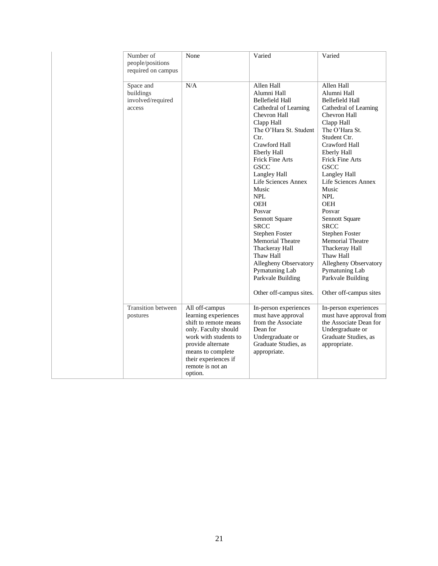| Number of<br>people/positions<br>required on campus   | None                                                                                                                                                                                                              | Varied                                                                                                                                                                                                                                                                                                                                                                                                                                                                                                                       | Varied                                                                                                                                                                                                                                                                                                                                                                                                                                                                                                             |
|-------------------------------------------------------|-------------------------------------------------------------------------------------------------------------------------------------------------------------------------------------------------------------------|------------------------------------------------------------------------------------------------------------------------------------------------------------------------------------------------------------------------------------------------------------------------------------------------------------------------------------------------------------------------------------------------------------------------------------------------------------------------------------------------------------------------------|--------------------------------------------------------------------------------------------------------------------------------------------------------------------------------------------------------------------------------------------------------------------------------------------------------------------------------------------------------------------------------------------------------------------------------------------------------------------------------------------------------------------|
| Space and<br>buildings<br>involved/required<br>access | N/A                                                                                                                                                                                                               | Allen Hall<br>Alumni Hall<br><b>Bellefield Hall</b><br>Cathedral of Learning<br>Chevron Hall<br>Clapp Hall<br>The O'Hara St. Student<br>$_{\rm Ctr.}$<br>Crawford Hall<br><b>Eberly Hall</b><br>Frick Fine Arts<br><b>GSCC</b><br>Langley Hall<br>Life Sciences Annex<br>Music<br><b>NPL</b><br><b>OEH</b><br>Posvar<br>Sennott Square<br><b>SRCC</b><br>Stephen Foster<br><b>Memorial Theatre</b><br>Thackeray Hall<br>Thaw Hall<br>Allegheny Observatory<br>Pymatuning Lab<br>Parkvale Building<br>Other off-campus sites. | Allen Hall<br>Alumni Hall<br><b>Bellefield Hall</b><br>Cathedral of Learning<br>Chevron Hall<br>Clapp Hall<br>The O'Hara St.<br>Student Ctr.<br>Crawford Hall<br><b>Eberly Hall</b><br>Frick Fine Arts<br>GSCC<br><b>Langley Hall</b><br>Life Sciences Annex<br>Music<br><b>NPL</b><br>OEH<br>Posvar<br>Sennott Square<br><b>SRCC</b><br><b>Stephen Foster</b><br><b>Memorial Theatre</b><br>Thackeray Hall<br>Thaw Hall<br>Allegheny Observatory<br>Pymatuning Lab<br>Parkvale Building<br>Other off-campus sites |
| Transition between<br>postures                        | All off-campus<br>learning experiences<br>shift to remote means<br>only. Faculty should<br>work with students to<br>provide alternate<br>means to complete<br>their experiences if<br>remote is not an<br>option. | In-person experiences<br>must have approval<br>from the Associate<br>Dean for<br>Undergraduate or<br>Graduate Studies, as<br>appropriate.                                                                                                                                                                                                                                                                                                                                                                                    | In-person experiences<br>must have approval from<br>the Associate Dean for<br>Undergraduate or<br>Graduate Studies, as<br>appropriate.                                                                                                                                                                                                                                                                                                                                                                             |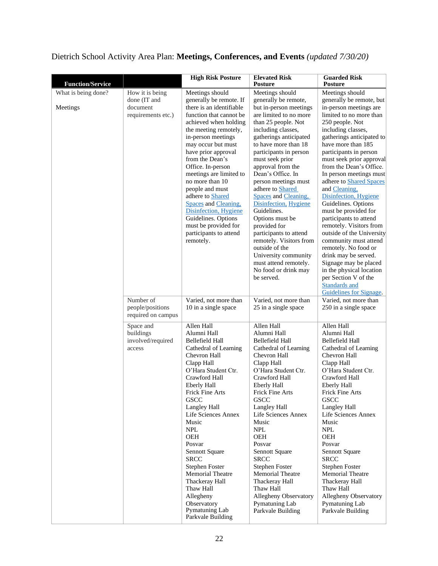# Dietrich School Activity Area Plan: **Meetings, Conferences, and Events** *(updated 7/30/20)*

| <b>Function/Service</b>         |                                                                                                              | <b>High Risk Posture</b>                                                                                                                                                                                                                                                                                                                                                                                                                                                                                            | <b>Elevated Risk</b><br><b>Posture</b>                                                                                                                                                                                                                                                                                                                                                                                                                                                                                                                                                         | <b>Guarded Risk</b><br><b>Posture</b>                                                                                                                                                                                                                                                                                                                                                                                                                                                                                                                                                                                                                                                                            |
|---------------------------------|--------------------------------------------------------------------------------------------------------------|---------------------------------------------------------------------------------------------------------------------------------------------------------------------------------------------------------------------------------------------------------------------------------------------------------------------------------------------------------------------------------------------------------------------------------------------------------------------------------------------------------------------|------------------------------------------------------------------------------------------------------------------------------------------------------------------------------------------------------------------------------------------------------------------------------------------------------------------------------------------------------------------------------------------------------------------------------------------------------------------------------------------------------------------------------------------------------------------------------------------------|------------------------------------------------------------------------------------------------------------------------------------------------------------------------------------------------------------------------------------------------------------------------------------------------------------------------------------------------------------------------------------------------------------------------------------------------------------------------------------------------------------------------------------------------------------------------------------------------------------------------------------------------------------------------------------------------------------------|
| What is being done?<br>Meetings | How it is being<br>done (IT and<br>document<br>requirements etc.)                                            | Meetings should<br>generally be remote. If<br>there is an identifiable<br>function that cannot be<br>achieved when holding<br>the meeting remotely,<br>in-person meetings<br>may occur but must<br>have prior approval<br>from the Dean's<br>Office. In-person<br>meetings are limited to<br>no more than 10<br>people and must<br>adhere to Shared<br>Spaces and Cleaning,<br>Disinfection, Hygiene<br>Guidelines. Options<br>must be provided for<br>participants to attend<br>remotely.                          | Meetings should<br>generally be remote,<br>but in-person meetings<br>are limited to no more<br>than 25 people. Not<br>including classes,<br>gatherings anticipated<br>to have more than 18<br>participants in person<br>must seek prior<br>approval from the<br>Dean's Office. In<br>person meetings must<br>adhere to Shared<br>Spaces and Cleaning,<br>Disinfection, Hygiene<br>Guidelines.<br>Options must be<br>provided for<br>participants to attend<br>remotely. Visitors from<br>outside of the<br>University community<br>must attend remotely.<br>No food or drink may<br>be served. | Meetings should<br>generally be remote, but<br>in-person meetings are<br>limited to no more than<br>250 people. Not<br>including classes,<br>gatherings anticipated to<br>have more than 185<br>participants in person<br>must seek prior approval<br>from the Dean's Office.<br>In person meetings must<br>adhere to Shared Spaces<br>and Cleaning,<br>Disinfection, Hygiene<br>Guidelines. Options<br>must be provided for<br>participants to attend<br>remotely. Visitors from<br>outside of the University<br>community must attend<br>remotely. No food or<br>drink may be served.<br>Signage may be placed<br>in the physical location<br>per Section V of the<br>Standards and<br>Guidelines for Signage. |
|                                 | Number of<br>people/positions<br>required on campus<br>Space and<br>buildings<br>involved/required<br>access | Varied, not more than<br>10 in a single space<br>Allen Hall<br>Alumni Hall<br>Bellefield Hall<br>Cathedral of Learning<br>Chevron Hall<br>Clapp Hall<br>O'Hara Student Ctr.<br>Crawford Hall<br><b>Eberly Hall</b><br>Frick Fine Arts<br><b>GSCC</b><br><b>Langley Hall</b><br>Life Sciences Annex<br>Music<br><b>NPL</b><br>OEH<br>Posvar<br>Sennott Square<br><b>SRCC</b><br>Stephen Foster<br>Memorial Theatre<br>Thackeray Hall<br>Thaw Hall<br>Allegheny<br>Observatory<br>Pymatuning Lab<br>Parkvale Building | Varied, not more than<br>25 in a single space<br>Allen Hall<br>Alumni Hall<br>Bellefield Hall<br>Cathedral of Learning<br>Chevron Hall<br>Clapp Hall<br>O'Hara Student Ctr.<br>Crawford Hall<br><b>Eberly Hall</b><br>Frick Fine Arts<br><b>GSCC</b><br>Langley Hall<br>Life Sciences Annex<br>Music<br><b>NPL</b><br>OEH<br>Posvar<br>Sennott Square<br><b>SRCC</b><br><b>Stephen Foster</b><br>Memorial Theatre<br>Thackeray Hall<br>Thaw Hall<br>Allegheny Observatory<br>Pymatuning Lab<br>Parkvale Building                                                                               | Varied, not more than<br>250 in a single space<br>Allen Hall<br>Alumni Hall<br>Bellefield Hall<br>Cathedral of Learning<br>Chevron Hall<br>Clapp Hall<br>O'Hara Student Ctr.<br>Crawford Hall<br><b>Eberly Hall</b><br>Frick Fine Arts<br><b>GSCC</b><br>Langley Hall<br>Life Sciences Annex<br>Music<br><b>NPL</b><br>OEH<br>Posvar<br>Sennott Square<br><b>SRCC</b><br><b>Stephen Foster</b><br>Memorial Theatre<br>Thackeray Hall<br>Thaw Hall<br>Allegheny Observatory<br>Pymatuning Lab<br>Parkvale Building                                                                                                                                                                                                |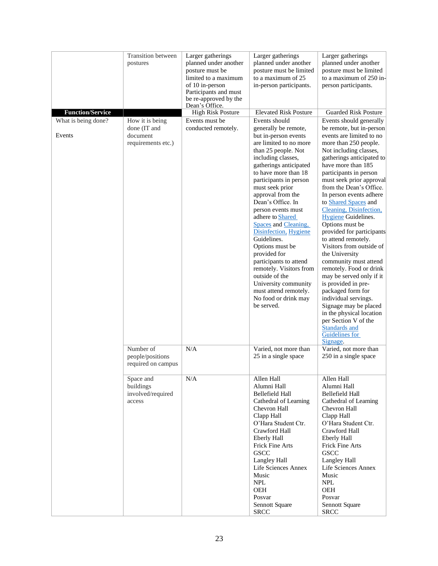|                         | <b>Transition</b> between<br>postures                 | Larger gatherings<br>planned under another<br>posture must be<br>limited to a maximum<br>of 10 in-person<br>Participants and must<br>be re-approved by the<br>Dean's Office. | Larger gatherings<br>planned under another<br>posture must be limited<br>to a maximum of 25<br>in-person participants.                                                                                                                                                                                                                                                                                                                                                                                                                                                  | Larger gatherings<br>planned under another<br>posture must be limited<br>to a maximum of 250 in-<br>person participants.                                                                                                                                                                                                                                                                                                                                                                                                                                                                                                                                                              |
|-------------------------|-------------------------------------------------------|------------------------------------------------------------------------------------------------------------------------------------------------------------------------------|-------------------------------------------------------------------------------------------------------------------------------------------------------------------------------------------------------------------------------------------------------------------------------------------------------------------------------------------------------------------------------------------------------------------------------------------------------------------------------------------------------------------------------------------------------------------------|---------------------------------------------------------------------------------------------------------------------------------------------------------------------------------------------------------------------------------------------------------------------------------------------------------------------------------------------------------------------------------------------------------------------------------------------------------------------------------------------------------------------------------------------------------------------------------------------------------------------------------------------------------------------------------------|
| <b>Function/Service</b> |                                                       | <b>High Risk Posture</b>                                                                                                                                                     | <b>Elevated Risk Posture</b>                                                                                                                                                                                                                                                                                                                                                                                                                                                                                                                                            | <b>Guarded Risk Posture</b>                                                                                                                                                                                                                                                                                                                                                                                                                                                                                                                                                                                                                                                           |
|                         |                                                       |                                                                                                                                                                              |                                                                                                                                                                                                                                                                                                                                                                                                                                                                                                                                                                         |                                                                                                                                                                                                                                                                                                                                                                                                                                                                                                                                                                                                                                                                                       |
| What is being done?     | How it is being                                       | Events must be                                                                                                                                                               | Events should                                                                                                                                                                                                                                                                                                                                                                                                                                                                                                                                                           | Events should generally                                                                                                                                                                                                                                                                                                                                                                                                                                                                                                                                                                                                                                                               |
| Events                  | done (IT and<br>document<br>requirements etc.)        | conducted remotely.                                                                                                                                                          | generally be remote,<br>but in-person events<br>are limited to no more<br>than 25 people. Not<br>including classes,<br>gatherings anticipated<br>to have more than 18<br>participants in person<br>must seek prior<br>approval from the<br>Dean's Office. In<br>person events must<br>adhere to Shared<br>Spaces and Cleaning,<br>Disinfection, Hygiene<br>Guidelines.<br>Options must be<br>provided for<br>participants to attend<br>remotely. Visitors from<br>outside of the<br>University community<br>must attend remotely.<br>No food or drink may<br>be served. | be remote, but in-person<br>events are limited to no<br>more than 250 people.<br>Not including classes,<br>gatherings anticipated to<br>have more than 185<br>participants in person<br>must seek prior approval<br>from the Dean's Office.<br>In person events adhere<br>to Shared Spaces and<br>Cleaning, Disinfection,<br><b>Hygiene</b> Guidelines.<br>Options must be<br>provided for participants<br>to attend remotely.<br>Visitors from outside of<br>the University<br>community must attend<br>remotely. Food or drink<br>may be served only if it<br>is provided in pre-<br>packaged form for<br>individual servings.<br>Signage may be placed<br>in the physical location |
|                         | Number of<br>people/positions                         | N/A                                                                                                                                                                          | Varied, not more than<br>25 in a single space                                                                                                                                                                                                                                                                                                                                                                                                                                                                                                                           | per Section V of the<br>Standards and<br><b>Guidelines</b> for<br>Signage.<br>Varied, not more than<br>250 in a single space                                                                                                                                                                                                                                                                                                                                                                                                                                                                                                                                                          |
|                         | required on campus                                    |                                                                                                                                                                              |                                                                                                                                                                                                                                                                                                                                                                                                                                                                                                                                                                         |                                                                                                                                                                                                                                                                                                                                                                                                                                                                                                                                                                                                                                                                                       |
|                         | Space and<br>buildings<br>involved/required<br>access | N/A                                                                                                                                                                          | Allen Hall<br>Alumni Hall<br><b>Bellefield Hall</b><br>Cathedral of Learning<br>Chevron Hall<br>Clapp Hall<br>O'Hara Student Ctr.<br>Crawford Hall<br><b>Eberly Hall</b><br>Frick Fine Arts<br><b>GSCC</b><br>Langley Hall<br>Life Sciences Annex<br>Music<br><b>NPL</b><br>OEH<br>Posvar<br>Sennott Square<br><b>SRCC</b>                                                                                                                                                                                                                                              | Allen Hall<br>Alumni Hall<br><b>Bellefield Hall</b><br>Cathedral of Learning<br>Chevron Hall<br>Clapp Hall<br>O'Hara Student Ctr.<br>Crawford Hall<br><b>Eberly Hall</b><br>Frick Fine Arts<br><b>GSCC</b><br>Langley Hall<br>Life Sciences Annex<br>Music<br><b>NPL</b><br>OEH<br>Posvar<br>Sennott Square<br><b>SRCC</b>                                                                                                                                                                                                                                                                                                                                                            |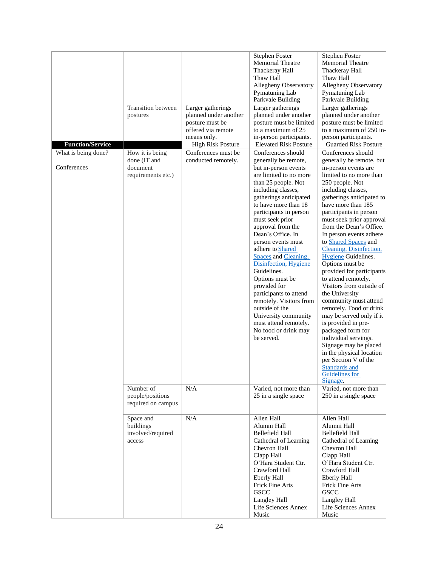|                                    | <b>Transition</b> between<br>postures                             | Larger gatherings<br>planned under another<br>posture must be<br>offered via remote<br>means only. | <b>Stephen Foster</b><br>Memorial Theatre<br>Thackeray Hall<br>Thaw Hall<br>Allegheny Observatory<br>Pymatuning Lab<br>Parkvale Building<br>Larger gatherings<br>planned under another<br>posture must be limited<br>to a maximum of 25<br>in-person participants.                                                                                                                                                                                                                                                                                                                            | Stephen Foster<br>Memorial Theatre<br>Thackeray Hall<br>Thaw Hall<br>Allegheny Observatory<br>Pymatuning Lab<br>Parkvale Building<br>Larger gatherings<br>planned under another<br>posture must be limited<br>to a maximum of 250 in-<br>person participants.                                                                                                                                                                                                                                                                                                                                                                                                                                                                                                                              |
|------------------------------------|-------------------------------------------------------------------|----------------------------------------------------------------------------------------------------|-----------------------------------------------------------------------------------------------------------------------------------------------------------------------------------------------------------------------------------------------------------------------------------------------------------------------------------------------------------------------------------------------------------------------------------------------------------------------------------------------------------------------------------------------------------------------------------------------|--------------------------------------------------------------------------------------------------------------------------------------------------------------------------------------------------------------------------------------------------------------------------------------------------------------------------------------------------------------------------------------------------------------------------------------------------------------------------------------------------------------------------------------------------------------------------------------------------------------------------------------------------------------------------------------------------------------------------------------------------------------------------------------------|
| <b>Function/Service</b>            |                                                                   | <b>High Risk Posture</b>                                                                           | <b>Elevated Risk Posture</b>                                                                                                                                                                                                                                                                                                                                                                                                                                                                                                                                                                  | <b>Guarded Risk Posture</b>                                                                                                                                                                                                                                                                                                                                                                                                                                                                                                                                                                                                                                                                                                                                                                |
| What is being done?<br>Conferences | How it is being<br>done (IT and<br>document<br>requirements etc.) | Conferences must be<br>conducted remotely.                                                         | Conferences should<br>generally be remote,<br>but in-person events<br>are limited to no more<br>than 25 people. Not<br>including classes,<br>gatherings anticipated<br>to have more than 18<br>participants in person<br>must seek prior<br>approval from the<br>Dean's Office. In<br>person events must<br>adhere to Shared<br>Spaces and Cleaning,<br>Disinfection, Hygiene<br>Guidelines.<br>Options must be<br>provided for<br>participants to attend<br>remotely. Visitors from<br>outside of the<br>University community<br>must attend remotely.<br>No food or drink may<br>be served. | Conferences should<br>generally be remote, but<br>in-person events are<br>limited to no more than<br>250 people. Not<br>including classes,<br>gatherings anticipated to<br>have more than 185<br>participants in person<br>must seek prior approval<br>from the Dean's Office.<br>In person events adhere<br>to Shared Spaces and<br>Cleaning, Disinfection,<br><b>Hygiene Guidelines.</b><br>Options must be<br>provided for participants<br>to attend remotely.<br>Visitors from outside of<br>the University<br>community must attend<br>remotely. Food or drink<br>may be served only if it<br>is provided in pre-<br>packaged form for<br>individual servings.<br>Signage may be placed<br>in the physical location<br>per Section V of the<br><b>Standards</b> and<br>Guidelines for |
|                                    | Number of<br>people/positions<br>required on campus               | N/A                                                                                                | Varied, not more than<br>25 in a single space                                                                                                                                                                                                                                                                                                                                                                                                                                                                                                                                                 | Signage.<br>Varied, not more than<br>250 in a single space                                                                                                                                                                                                                                                                                                                                                                                                                                                                                                                                                                                                                                                                                                                                 |
|                                    | Space and<br>buildings<br>involved/required<br>access             | N/A                                                                                                | Allen Hall<br>Alumni Hall<br><b>Bellefield Hall</b><br>Cathedral of Learning<br>Chevron Hall<br>Clapp Hall<br>O'Hara Student Ctr.<br>Crawford Hall<br><b>Eberly Hall</b><br>Frick Fine Arts<br><b>GSCC</b><br>Langley Hall<br>Life Sciences Annex<br>Music                                                                                                                                                                                                                                                                                                                                    | Allen Hall<br>Alumni Hall<br><b>Bellefield Hall</b><br>Cathedral of Learning<br>Chevron Hall<br>Clapp Hall<br>O'Hara Student Ctr.<br>Crawford Hall<br><b>Eberly Hall</b><br>Frick Fine Arts<br><b>GSCC</b><br>Langley Hall<br>Life Sciences Annex<br>Music                                                                                                                                                                                                                                                                                                                                                                                                                                                                                                                                 |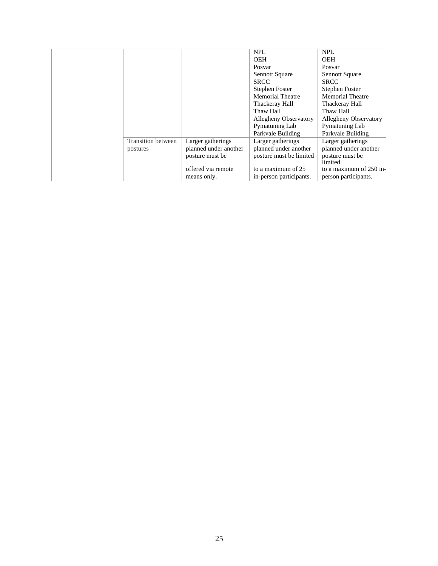|                           |                       | <b>NPL</b>                   | <b>NPL</b>                   |
|---------------------------|-----------------------|------------------------------|------------------------------|
|                           |                       | <b>OEH</b>                   | <b>OEH</b>                   |
|                           |                       | Posvar                       | Posvar                       |
|                           |                       | Sennott Square               | Sennott Square               |
|                           |                       | <b>SRCC</b>                  | <b>SRCC</b>                  |
|                           |                       | Stephen Foster               | Stephen Foster               |
|                           |                       | <b>Memorial Theatre</b>      | <b>Memorial Theatre</b>      |
|                           |                       | Thackeray Hall               | Thackeray Hall               |
|                           |                       | Thaw Hall                    | Thaw Hall                    |
|                           |                       | <b>Allegheny Observatory</b> | <b>Allegheny Observatory</b> |
|                           |                       | Pymatuning Lab               | Pymatuning Lab               |
|                           |                       | Parkvale Building            | Parkvale Building            |
| <b>Transition between</b> | Larger gatherings     | Larger gatherings            | Larger gatherings            |
| postures                  | planned under another | planned under another        | planned under another        |
|                           | posture must be       | posture must be limited      | posture must be<br>limited   |
|                           | offered via remote    | to a maximum of 25           | to a maximum of 250 in-      |
|                           | means only.           | in-person participants.      | person participants.         |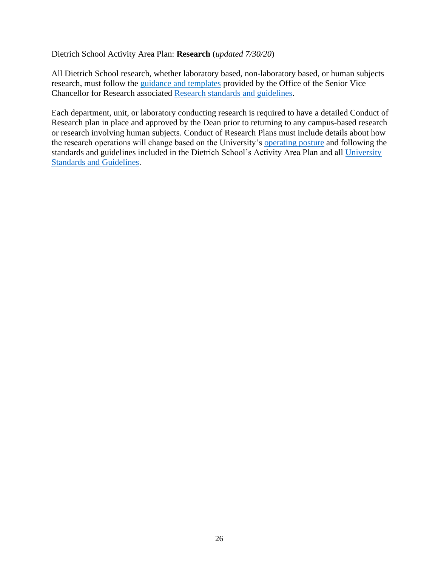Dietrich School Activity Area Plan: **Research** (*updated 7/30/20*)

All Dietrich School research, whether laboratory based, non-laboratory based, or human subjects research, must follow the [guidance and templates](https://www.svcresearch.pitt.edu/pitt-researchers/research-restart) provided by the Office of the Senior Vice Chancellor for Research associated [Research standards and guidelines.](https://www.policy.pitt.edu/university-policies-and-procedures/covid-19-standards-and-guidelines)

Each department, unit, or laboratory conducting research is required to have a detailed Conduct of Research plan in place and approved by the Dean prior to returning to any campus-based research or research involving human subjects. Conduct of Research Plans must include details about how the research operations will change based on the University's [operating posture](https://www.coronavirus.pitt.edu/return-campus/resilience-framework-operational-postures) and following the standards and guidelines included in the Dietrich School's Activity Area Plan and all [University](https://www.policy.pitt.edu/university-policies-and-procedures/covid-19-standards-and-guidelines) [Standards and Guidelines.](https://www.policy.pitt.edu/university-policies-and-procedures/covid-19-standards-and-guidelines)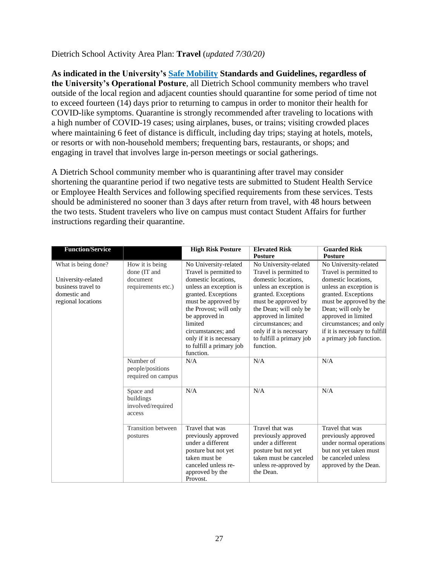Dietrich School Activity Area Plan: **Travel** (*updated 7/30/20)*

**As indicated in the University's [Safe Mobility](https://www.policy.pitt.edu/sites/default/files/covid/Safe%20Mobility.071320_0.pdf) Standards and Guidelines, regardless of the University's Operational Posture**, all Dietrich School community members who travel outside of the local region and adjacent counties should quarantine for some period of time not to exceed fourteen (14) days prior to returning to campus in order to monitor their health for COVID-like symptoms. Quarantine is strongly recommended after traveling to locations with a high number of COVID-19 cases; using airplanes, buses, or trains; visiting crowded places where maintaining 6 feet of distance is difficult, including day trips; staying at hotels, motels, or resorts or with non-household members; frequenting bars, restaurants, or shops; and engaging in travel that involves large in-person meetings or social gatherings.

A Dietrich School community member who is quarantining after travel may consider shortening the quarantine period if two negative tests are submitted to Student Health Service or Employee Health Services and following specified requirements from these services. Tests should be administered no sooner than 3 days after return from travel, with 48 hours between the two tests. Student travelers who live on campus must contact Student Affairs for further instructions regarding their quarantine.

| <b>Function/Service</b>                                                                               |                                                                   | <b>High Risk Posture</b>                                                                                                                                                                                                                                                                        | <b>Elevated Risk</b><br><b>Posture</b>                                                                                                                                                                                                                                                    | <b>Guarded Risk</b><br><b>Posture</b>                                                                                                                                                                                                                                                  |
|-------------------------------------------------------------------------------------------------------|-------------------------------------------------------------------|-------------------------------------------------------------------------------------------------------------------------------------------------------------------------------------------------------------------------------------------------------------------------------------------------|-------------------------------------------------------------------------------------------------------------------------------------------------------------------------------------------------------------------------------------------------------------------------------------------|----------------------------------------------------------------------------------------------------------------------------------------------------------------------------------------------------------------------------------------------------------------------------------------|
| What is being done?<br>University-related<br>business travel to<br>domestic and<br>regional locations | How it is being<br>done (IT and<br>document<br>requirements etc.) | No University-related<br>Travel is permitted to<br>domestic locations,<br>unless an exception is<br>granted. Exceptions<br>must be approved by<br>the Provost; will only<br>be approved in<br>limited<br>circumstances: and<br>only if it is necessary<br>to fulfill a primary job<br>function. | No University-related<br>Travel is permitted to<br>domestic locations,<br>unless an exception is<br>granted. Exceptions<br>must be approved by<br>the Dean; will only be<br>approved in limited<br>circumstances; and<br>only if it is necessary<br>to fulfill a primary job<br>function. | No University-related<br>Travel is permitted to<br>domestic locations,<br>unless an exception is<br>granted. Exceptions<br>must be approved by the<br>Dean; will only be<br>approved in limited<br>circumstances; and only<br>if it is necessary to fulfill<br>a primary job function. |
|                                                                                                       | Number of<br>people/positions<br>required on campus               | N/A                                                                                                                                                                                                                                                                                             | N/A                                                                                                                                                                                                                                                                                       | N/A                                                                                                                                                                                                                                                                                    |
|                                                                                                       | Space and<br>buildings<br>involved/required<br>access             | N/A                                                                                                                                                                                                                                                                                             | N/A                                                                                                                                                                                                                                                                                       | N/A                                                                                                                                                                                                                                                                                    |
|                                                                                                       | <b>Transition</b> between<br>postures                             | Travel that was<br>previously approved<br>under a different<br>posture but not yet<br>taken must be<br>canceled unless re-<br>approved by the<br>Provost.                                                                                                                                       | Travel that was<br>previously approved<br>under a different<br>posture but not yet<br>taken must be canceled<br>unless re-approved by<br>the Dean.                                                                                                                                        | Travel that was<br>previously approved<br>under normal operations<br>but not yet taken must<br>be canceled unless<br>approved by the Dean.                                                                                                                                             |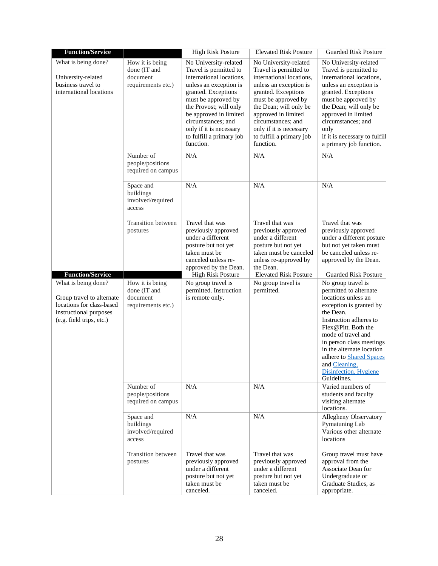| <b>Function/Service</b>                                                                                                             |                                                                                | <b>High Risk Posture</b>                                                                                                                                                                                                                                                                          | <b>Elevated Risk Posture</b>                                                                                                                                                                                                                                                                   | <b>Guarded Risk Posture</b>                                                                                                                                                                                                                                                                                                                          |
|-------------------------------------------------------------------------------------------------------------------------------------|--------------------------------------------------------------------------------|---------------------------------------------------------------------------------------------------------------------------------------------------------------------------------------------------------------------------------------------------------------------------------------------------|------------------------------------------------------------------------------------------------------------------------------------------------------------------------------------------------------------------------------------------------------------------------------------------------|------------------------------------------------------------------------------------------------------------------------------------------------------------------------------------------------------------------------------------------------------------------------------------------------------------------------------------------------------|
| What is being done?<br>University-related<br>business travel to<br>international locations                                          | How it is being<br>done (IT and<br>document<br>requirements etc.)              | No University-related<br>Travel is permitted to<br>international locations,<br>unless an exception is<br>granted. Exceptions<br>must be approved by<br>the Provost; will only<br>be approved in limited<br>circumstances; and<br>only if it is necessary<br>to fulfill a primary job<br>function. | No University-related<br>Travel is permitted to<br>international locations,<br>unless an exception is<br>granted. Exceptions<br>must be approved by<br>the Dean; will only be<br>approved in limited<br>circumstances; and<br>only if it is necessary<br>to fulfill a primary job<br>function. | No University-related<br>Travel is permitted to<br>international locations,<br>unless an exception is<br>granted. Exceptions<br>must be approved by<br>the Dean; will only be<br>approved in limited<br>circumstances; and<br>only<br>if it is necessary to fulfill<br>a primary job function.                                                       |
|                                                                                                                                     | Number of<br>people/positions<br>required on campus                            | N/A                                                                                                                                                                                                                                                                                               | N/A                                                                                                                                                                                                                                                                                            | N/A                                                                                                                                                                                                                                                                                                                                                  |
|                                                                                                                                     | Space and<br>buildings<br>involved/required<br>access                          | N/A                                                                                                                                                                                                                                                                                               | N/A                                                                                                                                                                                                                                                                                            | N/A                                                                                                                                                                                                                                                                                                                                                  |
|                                                                                                                                     | Transition between<br>postures                                                 | Travel that was<br>previously approved<br>under a different<br>posture but not yet<br>taken must be<br>canceled unless re-<br>approved by the Dean.                                                                                                                                               | Travel that was<br>previously approved<br>under a different<br>posture but not yet<br>taken must be canceled<br>unless re-approved by<br>the Dean.                                                                                                                                             | Travel that was<br>previously approved<br>under a different posture<br>but not yet taken must<br>be canceled unless re-<br>approved by the Dean.                                                                                                                                                                                                     |
| <b>Function/Service</b>                                                                                                             |                                                                                | <b>High Risk Posture</b>                                                                                                                                                                                                                                                                          | <b>Elevated Risk Posture</b>                                                                                                                                                                                                                                                                   | <b>Guarded Risk Posture</b>                                                                                                                                                                                                                                                                                                                          |
| What is being done?<br>Group travel to alternate<br>locations for class-based<br>instructional purposes<br>(e.g. field trips, etc.) | How it is being<br>done (IT and<br>document<br>requirements etc.)<br>Number of | No group travel is<br>permitted. Instruction<br>is remote only.<br>N/A                                                                                                                                                                                                                            | No group travel is<br>permitted.<br>N/A                                                                                                                                                                                                                                                        | No group travel is<br>permitted to alternate<br>locations unless an<br>exception is granted by<br>the Dean.<br>Instruction adheres to<br>Flex@Pitt. Both the<br>mode of travel and<br>in person class meetings<br>in the alternate location<br>adhere to Shared Spaces<br>and Cleaning,<br>Disinfection, Hygiene<br>Guidelines.<br>Varied numbers of |
|                                                                                                                                     | people/positions<br>required on campus                                         |                                                                                                                                                                                                                                                                                                   |                                                                                                                                                                                                                                                                                                | students and faculty<br>visiting alternate<br>locations.                                                                                                                                                                                                                                                                                             |
|                                                                                                                                     | Space and<br>buildings<br>involved/required<br>access                          | N/A                                                                                                                                                                                                                                                                                               | N/A                                                                                                                                                                                                                                                                                            | Allegheny Observatory<br>Pymatuning Lab<br>Various other alternate<br>locations                                                                                                                                                                                                                                                                      |
|                                                                                                                                     | <b>Transition</b> between<br>postures                                          | Travel that was<br>previously approved<br>under a different<br>posture but not yet<br>taken must be<br>canceled.                                                                                                                                                                                  | Travel that was<br>previously approved<br>under a different<br>posture but not yet<br>taken must be<br>canceled.                                                                                                                                                                               | Group travel must have<br>approval from the<br>Associate Dean for<br>Undergraduate or<br>Graduate Studies, as<br>appropriate.                                                                                                                                                                                                                        |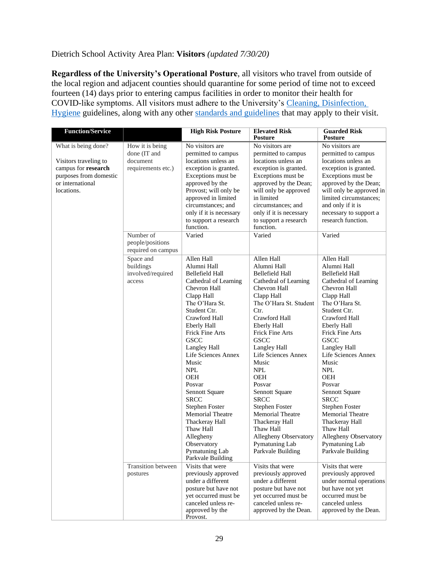## Dietrich School Activity Area Plan: **Visitors** *(updated 7/30/20)*

**Regardless of the University's Operational Posture**, all visitors who travel from outside of the local region and adjacent counties should quarantine for some period of time not to exceed fourteen (14) days prior to entering campus facilities in order to monitor their health for COVID-like symptoms. All visitors must adhere to the University's [Cleaning, Disinfection,](https://www.policy.pitt.edu/sites/default/files/covid/Cleaning%20Disinfection%20Hygiene%20FINAL.pdf)  [Hygiene](https://www.policy.pitt.edu/sites/default/files/covid/Cleaning%20Disinfection%20Hygiene%20FINAL.pdf) guidelines, along with any other [standards and guidelines](https://www.policy.pitt.edu/university-policies-and-procedures/covid-19-standards-and-guidelines) that may apply to their visit.

| <b>Function/Service</b>                                                                                                         |                                                                                                 | <b>High Risk Posture</b>                                                                                                                                                                                                                                                                                                                                                                                                                                                                    | <b>Elevated Risk</b><br><b>Posture</b>                                                                                                                                                                                                                                                                                                                                                                                                                                                                 | <b>Guarded Risk</b><br><b>Posture</b>                                                                                                                                                                                                                                                                                                                                                                                                                                             |
|---------------------------------------------------------------------------------------------------------------------------------|-------------------------------------------------------------------------------------------------|---------------------------------------------------------------------------------------------------------------------------------------------------------------------------------------------------------------------------------------------------------------------------------------------------------------------------------------------------------------------------------------------------------------------------------------------------------------------------------------------|--------------------------------------------------------------------------------------------------------------------------------------------------------------------------------------------------------------------------------------------------------------------------------------------------------------------------------------------------------------------------------------------------------------------------------------------------------------------------------------------------------|-----------------------------------------------------------------------------------------------------------------------------------------------------------------------------------------------------------------------------------------------------------------------------------------------------------------------------------------------------------------------------------------------------------------------------------------------------------------------------------|
| What is being done?<br>Visitors traveling to<br>campus for research<br>purposes from domestic<br>or international<br>locations. | How it is being<br>done (IT and<br>document<br>requirements etc.)<br>Number of                  | No visitors are<br>permitted to campus<br>locations unless an<br>exception is granted.<br>Exceptions must be<br>approved by the<br>Provost; will only be<br>approved in limited<br>circumstances; and<br>only if it is necessary<br>to support a research<br>function.<br>Varied                                                                                                                                                                                                            | No visitors are<br>permitted to campus<br>locations unless an<br>exception is granted.<br>Exceptions must be<br>approved by the Dean;<br>will only be approved<br>in limited<br>circumstances; and<br>only if it is necessary<br>to support a research<br>function.<br>Varied                                                                                                                                                                                                                          | No visitors are<br>permitted to campus<br>locations unless an<br>exception is granted.<br>Exceptions must be<br>approved by the Dean;<br>will only be approved in<br>limited circumstances;<br>and only if it is<br>necessary to support a<br>research function.<br>Varied                                                                                                                                                                                                        |
|                                                                                                                                 | people/positions<br>required on campus<br>Space and<br>buildings<br>involved/required<br>access | Allen Hall<br>Alumni Hall<br>Bellefield Hall<br>Cathedral of Learning<br>Chevron Hall<br>Clapp Hall<br>The O'Hara St.<br>Student Ctr.<br>Crawford Hall<br><b>Eberly Hall</b><br>Frick Fine Arts<br><b>GSCC</b><br><b>Langley Hall</b><br>Life Sciences Annex<br>Music<br><b>NPL</b><br><b>OEH</b><br>Posvar<br>Sennott Square<br><b>SRCC</b><br>Stephen Foster<br><b>Memorial Theatre</b><br>Thackeray Hall<br>Thaw Hall<br>Allegheny<br>Observatory<br>Pymatuning Lab<br>Parkvale Building | Allen Hall<br>Alumni Hall<br><b>Bellefield Hall</b><br>Cathedral of Learning<br>Chevron Hall<br>Clapp Hall<br>The O'Hara St. Student<br>Ctr.<br><b>Crawford Hall</b><br><b>Eberly Hall</b><br>Frick Fine Arts<br><b>GSCC</b><br><b>Langley Hall</b><br>Life Sciences Annex<br>Music<br><b>NPL</b><br><b>OEH</b><br>Posvar<br>Sennott Square<br><b>SRCC</b><br>Stephen Foster<br><b>Memorial Theatre</b><br>Thackeray Hall<br>Thaw Hall<br>Allegheny Observatory<br>Pymatuning Lab<br>Parkvale Building | Allen Hall<br>Alumni Hall<br>Bellefield Hall<br>Cathedral of Learning<br>Chevron Hall<br>Clapp Hall<br>The O'Hara St.<br>Student Ctr.<br>Crawford Hall<br><b>Eberly Hall</b><br>Frick Fine Arts<br><b>GSCC</b><br>Langley Hall<br>Life Sciences Annex<br>Music<br><b>NPL</b><br><b>OEH</b><br>Posvar<br>Sennott Square<br><b>SRCC</b><br>Stephen Foster<br><b>Memorial Theatre</b><br>Thackeray Hall<br>Thaw Hall<br>Allegheny Observatory<br>Pymatuning Lab<br>Parkvale Building |
|                                                                                                                                 | Transition between<br>postures                                                                  | Visits that were<br>previously approved<br>under a different<br>posture but have not<br>yet occurred must be<br>canceled unless re-<br>approved by the<br>Provost.                                                                                                                                                                                                                                                                                                                          | Visits that were<br>previously approved<br>under a different<br>posture but have not<br>yet occurred must be<br>canceled unless re-<br>approved by the Dean.                                                                                                                                                                                                                                                                                                                                           | Visits that were<br>previously approved<br>under normal operations<br>but have not yet<br>occurred must be<br>canceled unless<br>approved by the Dean.                                                                                                                                                                                                                                                                                                                            |